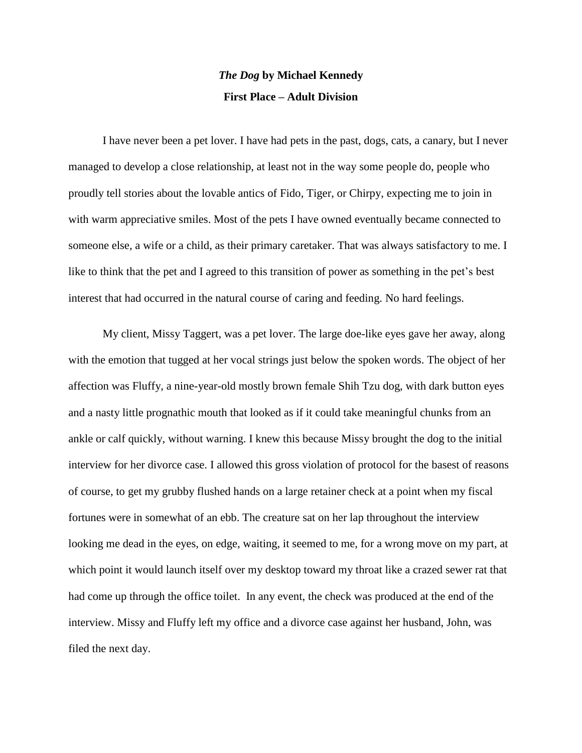# *The Dog* **by Michael Kennedy First Place – Adult Division**

I have never been a pet lover. I have had pets in the past, dogs, cats, a canary, but I never managed to develop a close relationship, at least not in the way some people do, people who proudly tell stories about the lovable antics of Fido, Tiger, or Chirpy, expecting me to join in with warm appreciative smiles. Most of the pets I have owned eventually became connected to someone else, a wife or a child, as their primary caretaker. That was always satisfactory to me. I like to think that the pet and I agreed to this transition of power as something in the pet's best interest that had occurred in the natural course of caring and feeding. No hard feelings.

My client, Missy Taggert, was a pet lover. The large doe-like eyes gave her away, along with the emotion that tugged at her vocal strings just below the spoken words. The object of her affection was Fluffy, a nine-year-old mostly brown female Shih Tzu dog, with dark button eyes and a nasty little prognathic mouth that looked as if it could take meaningful chunks from an ankle or calf quickly, without warning. I knew this because Missy brought the dog to the initial interview for her divorce case. I allowed this gross violation of protocol for the basest of reasons of course, to get my grubby flushed hands on a large retainer check at a point when my fiscal fortunes were in somewhat of an ebb. The creature sat on her lap throughout the interview looking me dead in the eyes, on edge, waiting, it seemed to me, for a wrong move on my part, at which point it would launch itself over my desktop toward my throat like a crazed sewer rat that had come up through the office toilet. In any event, the check was produced at the end of the interview. Missy and Fluffy left my office and a divorce case against her husband, John, was filed the next day.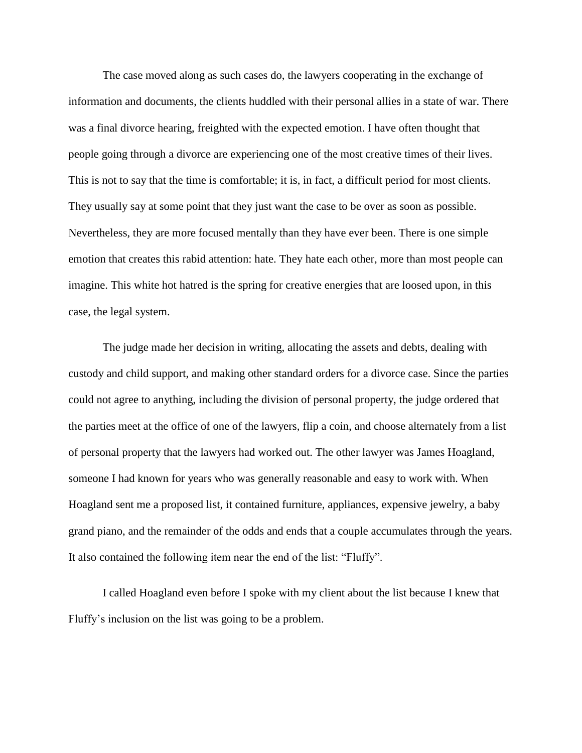The case moved along as such cases do, the lawyers cooperating in the exchange of information and documents, the clients huddled with their personal allies in a state of war. There was a final divorce hearing, freighted with the expected emotion. I have often thought that people going through a divorce are experiencing one of the most creative times of their lives. This is not to say that the time is comfortable; it is, in fact, a difficult period for most clients. They usually say at some point that they just want the case to be over as soon as possible. Nevertheless, they are more focused mentally than they have ever been. There is one simple emotion that creates this rabid attention: hate. They hate each other, more than most people can imagine. This white hot hatred is the spring for creative energies that are loosed upon, in this case, the legal system.

The judge made her decision in writing, allocating the assets and debts, dealing with custody and child support, and making other standard orders for a divorce case. Since the parties could not agree to anything, including the division of personal property, the judge ordered that the parties meet at the office of one of the lawyers, flip a coin, and choose alternately from a list of personal property that the lawyers had worked out. The other lawyer was James Hoagland, someone I had known for years who was generally reasonable and easy to work with. When Hoagland sent me a proposed list, it contained furniture, appliances, expensive jewelry, a baby grand piano, and the remainder of the odds and ends that a couple accumulates through the years. It also contained the following item near the end of the list: "Fluffy".

I called Hoagland even before I spoke with my client about the list because I knew that Fluffy's inclusion on the list was going to be a problem.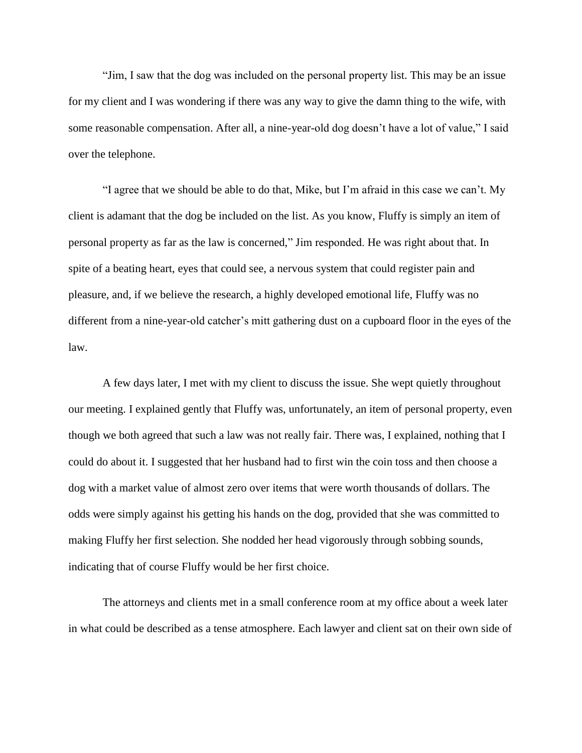"Jim, I saw that the dog was included on the personal property list. This may be an issue for my client and I was wondering if there was any way to give the damn thing to the wife, with some reasonable compensation. After all, a nine-year-old dog doesn't have a lot of value," I said over the telephone.

"I agree that we should be able to do that, Mike, but I'm afraid in this case we can't. My client is adamant that the dog be included on the list. As you know, Fluffy is simply an item of personal property as far as the law is concerned," Jim responded. He was right about that. In spite of a beating heart, eyes that could see, a nervous system that could register pain and pleasure, and, if we believe the research, a highly developed emotional life, Fluffy was no different from a nine-year-old catcher's mitt gathering dust on a cupboard floor in the eyes of the law.

A few days later, I met with my client to discuss the issue. She wept quietly throughout our meeting. I explained gently that Fluffy was, unfortunately, an item of personal property, even though we both agreed that such a law was not really fair. There was, I explained, nothing that I could do about it. I suggested that her husband had to first win the coin toss and then choose a dog with a market value of almost zero over items that were worth thousands of dollars. The odds were simply against his getting his hands on the dog, provided that she was committed to making Fluffy her first selection. She nodded her head vigorously through sobbing sounds, indicating that of course Fluffy would be her first choice.

The attorneys and clients met in a small conference room at my office about a week later in what could be described as a tense atmosphere. Each lawyer and client sat on their own side of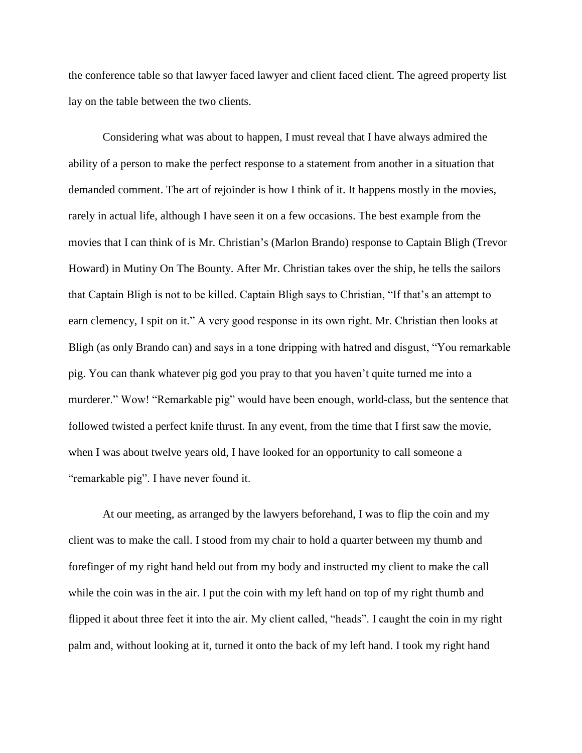the conference table so that lawyer faced lawyer and client faced client. The agreed property list lay on the table between the two clients.

Considering what was about to happen, I must reveal that I have always admired the ability of a person to make the perfect response to a statement from another in a situation that demanded comment. The art of rejoinder is how I think of it. It happens mostly in the movies, rarely in actual life, although I have seen it on a few occasions. The best example from the movies that I can think of is Mr. Christian's (Marlon Brando) response to Captain Bligh (Trevor Howard) in Mutiny On The Bounty. After Mr. Christian takes over the ship, he tells the sailors that Captain Bligh is not to be killed. Captain Bligh says to Christian, "If that's an attempt to earn clemency, I spit on it." A very good response in its own right. Mr. Christian then looks at Bligh (as only Brando can) and says in a tone dripping with hatred and disgust, "You remarkable pig. You can thank whatever pig god you pray to that you haven't quite turned me into a murderer." Wow! "Remarkable pig" would have been enough, world-class, but the sentence that followed twisted a perfect knife thrust. In any event, from the time that I first saw the movie, when I was about twelve years old, I have looked for an opportunity to call someone a "remarkable pig". I have never found it.

At our meeting, as arranged by the lawyers beforehand, I was to flip the coin and my client was to make the call. I stood from my chair to hold a quarter between my thumb and forefinger of my right hand held out from my body and instructed my client to make the call while the coin was in the air. I put the coin with my left hand on top of my right thumb and flipped it about three feet it into the air. My client called, "heads". I caught the coin in my right palm and, without looking at it, turned it onto the back of my left hand. I took my right hand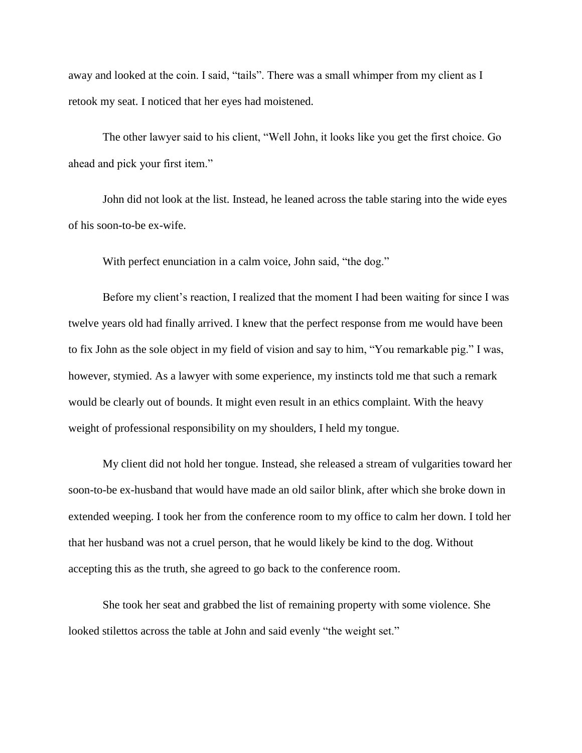away and looked at the coin. I said, "tails". There was a small whimper from my client as I retook my seat. I noticed that her eyes had moistened.

The other lawyer said to his client, "Well John, it looks like you get the first choice. Go ahead and pick your first item."

John did not look at the list. Instead, he leaned across the table staring into the wide eyes of his soon-to-be ex-wife.

With perfect enunciation in a calm voice, John said, "the dog."

Before my client's reaction, I realized that the moment I had been waiting for since I was twelve years old had finally arrived. I knew that the perfect response from me would have been to fix John as the sole object in my field of vision and say to him, "You remarkable pig." I was, however, stymied. As a lawyer with some experience, my instincts told me that such a remark would be clearly out of bounds. It might even result in an ethics complaint. With the heavy weight of professional responsibility on my shoulders, I held my tongue.

My client did not hold her tongue. Instead, she released a stream of vulgarities toward her soon-to-be ex-husband that would have made an old sailor blink, after which she broke down in extended weeping. I took her from the conference room to my office to calm her down. I told her that her husband was not a cruel person, that he would likely be kind to the dog. Without accepting this as the truth, she agreed to go back to the conference room.

She took her seat and grabbed the list of remaining property with some violence. She looked stilettos across the table at John and said evenly "the weight set."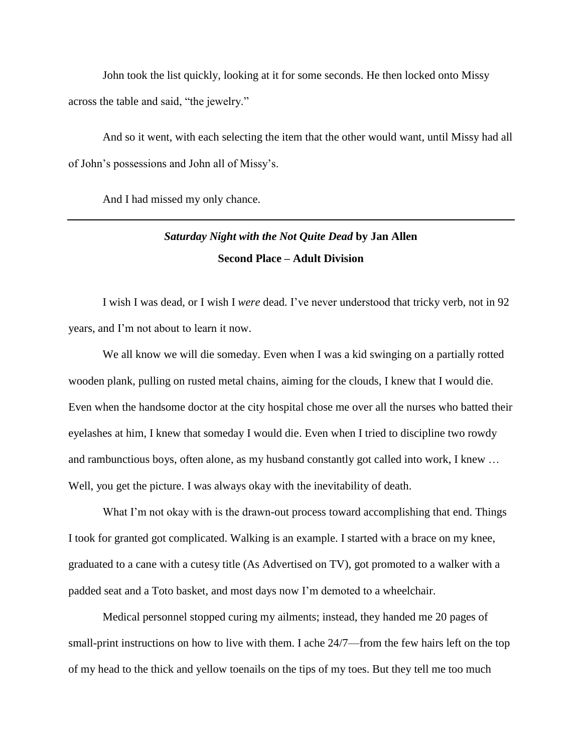John took the list quickly, looking at it for some seconds. He then locked onto Missy across the table and said, "the jewelry."

And so it went, with each selecting the item that the other would want, until Missy had all of John's possessions and John all of Missy's.

And I had missed my only chance.

# *Saturday Night with the Not Quite Dead* **by Jan Allen Second Place – Adult Division**

I wish I was dead, or I wish I *were* dead. I've never understood that tricky verb, not in 92 years, and I'm not about to learn it now.

We all know we will die someday. Even when I was a kid swinging on a partially rotted wooden plank, pulling on rusted metal chains, aiming for the clouds, I knew that I would die. Even when the handsome doctor at the city hospital chose me over all the nurses who batted their eyelashes at him, I knew that someday I would die. Even when I tried to discipline two rowdy and rambunctious boys, often alone, as my husband constantly got called into work, I knew … Well, you get the picture. I was always okay with the inevitability of death.

What I'm not okay with is the drawn-out process toward accomplishing that end. Things I took for granted got complicated. Walking is an example. I started with a brace on my knee, graduated to a cane with a cutesy title (As Advertised on TV), got promoted to a walker with a padded seat and a Toto basket, and most days now I'm demoted to a wheelchair.

Medical personnel stopped curing my ailments; instead, they handed me 20 pages of small-print instructions on how to live with them. I ache 24/7—from the few hairs left on the top of my head to the thick and yellow toenails on the tips of my toes. But they tell me too much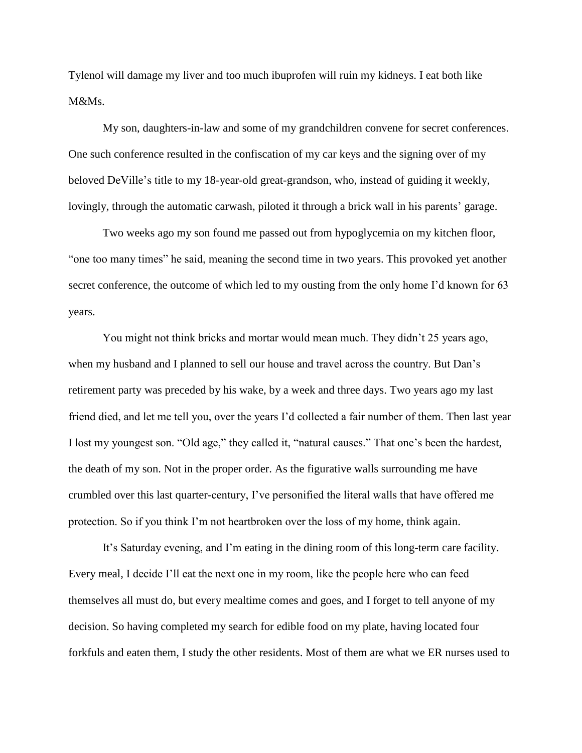Tylenol will damage my liver and too much ibuprofen will ruin my kidneys. I eat both like M&Ms.

My son, daughters-in-law and some of my grandchildren convene for secret conferences. One such conference resulted in the confiscation of my car keys and the signing over of my beloved DeVille's title to my 18-year-old great-grandson, who, instead of guiding it weekly, lovingly, through the automatic carwash, piloted it through a brick wall in his parents' garage.

Two weeks ago my son found me passed out from hypoglycemia on my kitchen floor, "one too many times" he said, meaning the second time in two years. This provoked yet another secret conference, the outcome of which led to my ousting from the only home I'd known for 63 years.

You might not think bricks and mortar would mean much. They didn't 25 years ago, when my husband and I planned to sell our house and travel across the country. But Dan's retirement party was preceded by his wake, by a week and three days. Two years ago my last friend died, and let me tell you, over the years I'd collected a fair number of them. Then last year I lost my youngest son. "Old age," they called it, "natural causes." That one's been the hardest, the death of my son. Not in the proper order. As the figurative walls surrounding me have crumbled over this last quarter-century, I've personified the literal walls that have offered me protection. So if you think I'm not heartbroken over the loss of my home, think again.

It's Saturday evening, and I'm eating in the dining room of this long-term care facility. Every meal, I decide I'll eat the next one in my room, like the people here who can feed themselves all must do, but every mealtime comes and goes, and I forget to tell anyone of my decision. So having completed my search for edible food on my plate, having located four forkfuls and eaten them, I study the other residents. Most of them are what we ER nurses used to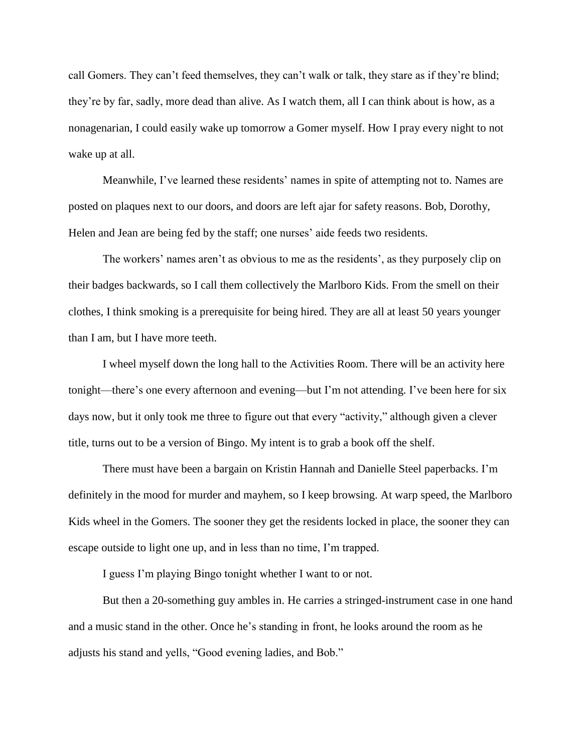call Gomers. They can't feed themselves, they can't walk or talk, they stare as if they're blind; they're by far, sadly, more dead than alive. As I watch them, all I can think about is how, as a nonagenarian, I could easily wake up tomorrow a Gomer myself. How I pray every night to not wake up at all.

Meanwhile, I've learned these residents' names in spite of attempting not to. Names are posted on plaques next to our doors, and doors are left ajar for safety reasons. Bob, Dorothy, Helen and Jean are being fed by the staff; one nurses' aide feeds two residents.

The workers' names aren't as obvious to me as the residents', as they purposely clip on their badges backwards, so I call them collectively the Marlboro Kids. From the smell on their clothes, I think smoking is a prerequisite for being hired. They are all at least 50 years younger than I am, but I have more teeth.

I wheel myself down the long hall to the Activities Room. There will be an activity here tonight—there's one every afternoon and evening—but I'm not attending. I've been here for six days now, but it only took me three to figure out that every "activity," although given a clever title, turns out to be a version of Bingo. My intent is to grab a book off the shelf.

There must have been a bargain on Kristin Hannah and Danielle Steel paperbacks. I'm definitely in the mood for murder and mayhem, so I keep browsing. At warp speed, the Marlboro Kids wheel in the Gomers. The sooner they get the residents locked in place, the sooner they can escape outside to light one up, and in less than no time, I'm trapped.

I guess I'm playing Bingo tonight whether I want to or not.

But then a 20-something guy ambles in. He carries a stringed-instrument case in one hand and a music stand in the other. Once he's standing in front, he looks around the room as he adjusts his stand and yells, "Good evening ladies, and Bob."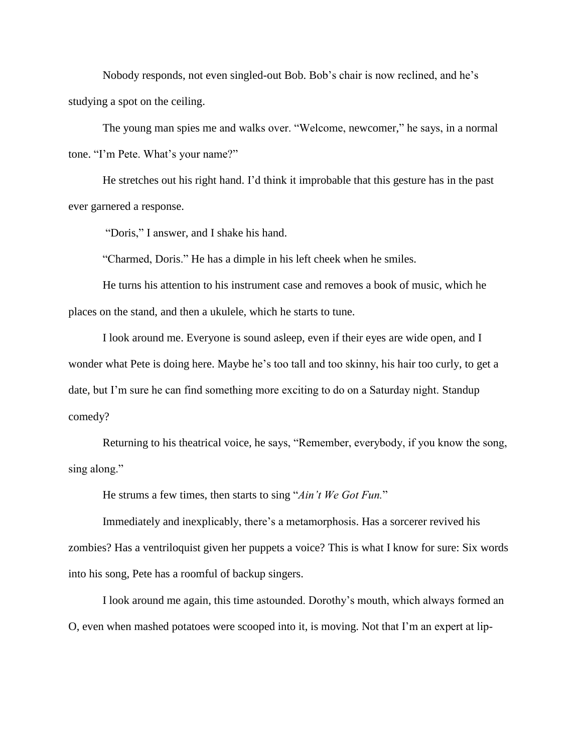Nobody responds, not even singled-out Bob. Bob's chair is now reclined, and he's studying a spot on the ceiling.

The young man spies me and walks over. "Welcome, newcomer," he says, in a normal tone. "I'm Pete. What's your name?"

He stretches out his right hand. I'd think it improbable that this gesture has in the past ever garnered a response.

"Doris," I answer, and I shake his hand.

"Charmed, Doris." He has a dimple in his left cheek when he smiles.

He turns his attention to his instrument case and removes a book of music, which he places on the stand, and then a ukulele, which he starts to tune.

I look around me. Everyone is sound asleep, even if their eyes are wide open, and I wonder what Pete is doing here. Maybe he's too tall and too skinny, his hair too curly, to get a date, but I'm sure he can find something more exciting to do on a Saturday night. Standup comedy?

Returning to his theatrical voice, he says, "Remember, everybody, if you know the song, sing along."

He strums a few times, then starts to sing "*Ain't We Got Fun.*"

Immediately and inexplicably, there's a metamorphosis. Has a sorcerer revived his zombies? Has a ventriloquist given her puppets a voice? This is what I know for sure: Six words into his song, Pete has a roomful of backup singers.

I look around me again, this time astounded. Dorothy's mouth, which always formed an O, even when mashed potatoes were scooped into it, is moving. Not that I'm an expert at lip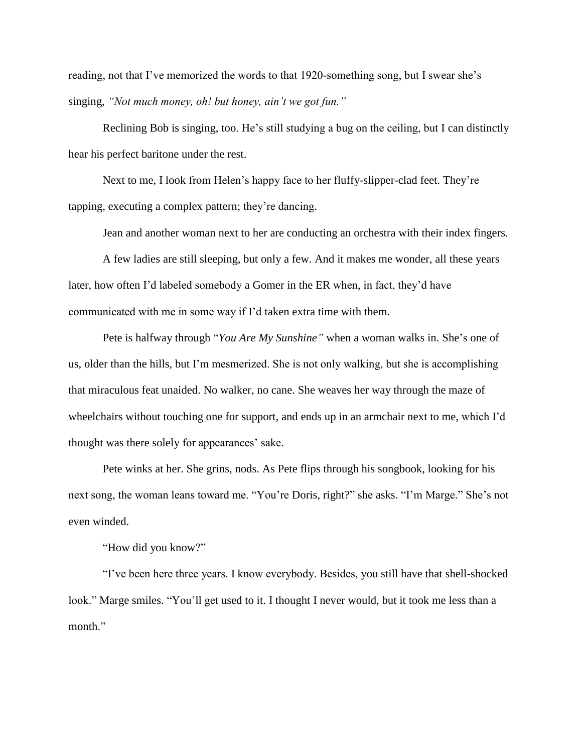reading, not that I've memorized the words to that 1920-something song, but I swear she's singing, *"Not much money, oh! but honey, ain't we got fun."*

Reclining Bob is singing, too. He's still studying a bug on the ceiling, but I can distinctly hear his perfect baritone under the rest.

Next to me, I look from Helen's happy face to her fluffy-slipper-clad feet. They're tapping, executing a complex pattern; they're dancing.

Jean and another woman next to her are conducting an orchestra with their index fingers.

A few ladies are still sleeping, but only a few. And it makes me wonder, all these years later, how often I'd labeled somebody a Gomer in the ER when, in fact, they'd have communicated with me in some way if I'd taken extra time with them.

Pete is halfway through "*You Are My Sunshine"* when a woman walks in. She's one of us, older than the hills, but I'm mesmerized. She is not only walking, but she is accomplishing that miraculous feat unaided. No walker, no cane. She weaves her way through the maze of wheelchairs without touching one for support, and ends up in an armchair next to me, which I'd thought was there solely for appearances' sake.

Pete winks at her. She grins, nods. As Pete flips through his songbook, looking for his next song, the woman leans toward me. "You're Doris, right?" she asks. "I'm Marge." She's not even winded.

"How did you know?"

"I've been here three years. I know everybody. Besides, you still have that shell-shocked look." Marge smiles. "You'll get used to it. I thought I never would, but it took me less than a month."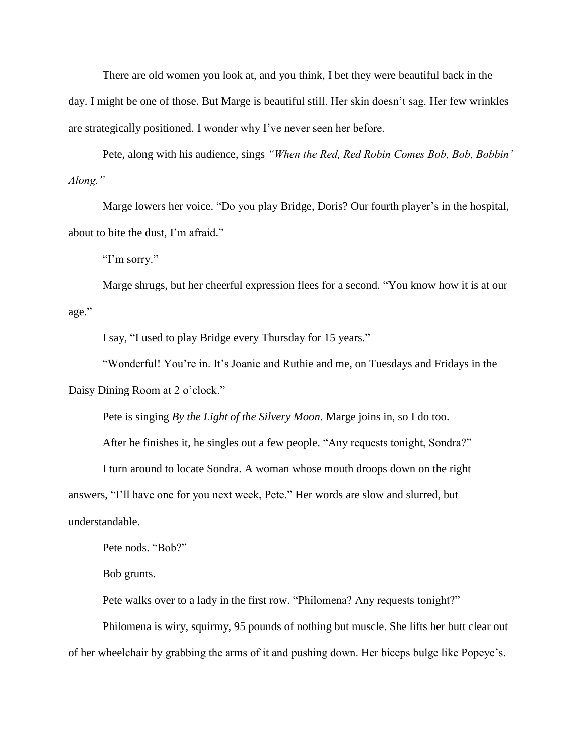There are old women you look at, and you think, I bet they were beautiful back in the day. I might be one of those. But Marge is beautiful still. Her skin doesn't sag. Her few wrinkles are strategically positioned. I wonder why I've never seen her before.

Pete, along with his audience, sings *"When the Red, Red Robin Comes Bob, Bob, Bobbin' Along."*

Marge lowers her voice. "Do you play Bridge, Doris? Our fourth player's in the hospital, about to bite the dust, I'm afraid."

"I'm sorry."

Marge shrugs, but her cheerful expression flees for a second. "You know how it is at our age."

I say, "I used to play Bridge every Thursday for 15 years."

"Wonderful! You're in. It's Joanie and Ruthie and me, on Tuesdays and Fridays in the

Daisy Dining Room at 2 o'clock."

Pete is singing *By the Light of the Silvery Moon.* Marge joins in, so I do too.

After he finishes it, he singles out a few people. "Any requests tonight, Sondra?"

I turn around to locate Sondra. A woman whose mouth droops down on the right

answers, "I'll have one for you next week, Pete." Her words are slow and slurred, but understandable.

Pete nods. "Bob?"

Bob grunts.

Pete walks over to a lady in the first row. "Philomena? Any requests tonight?"

Philomena is wiry, squirmy, 95 pounds of nothing but muscle. She lifts her butt clear out of her wheelchair by grabbing the arms of it and pushing down. Her biceps bulge like Popeye's.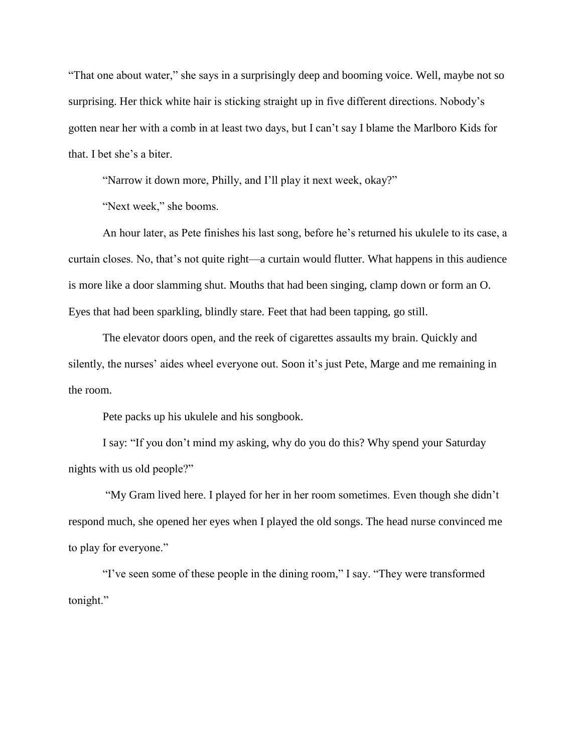"That one about water," she says in a surprisingly deep and booming voice. Well, maybe not so surprising. Her thick white hair is sticking straight up in five different directions. Nobody's gotten near her with a comb in at least two days, but I can't say I blame the Marlboro Kids for that. I bet she's a biter.

"Narrow it down more, Philly, and I'll play it next week, okay?"

"Next week," she booms.

An hour later, as Pete finishes his last song, before he's returned his ukulele to its case, a curtain closes. No, that's not quite right—a curtain would flutter. What happens in this audience is more like a door slamming shut. Mouths that had been singing, clamp down or form an O. Eyes that had been sparkling, blindly stare. Feet that had been tapping, go still.

The elevator doors open, and the reek of cigarettes assaults my brain. Quickly and silently, the nurses' aides wheel everyone out. Soon it's just Pete, Marge and me remaining in the room.

Pete packs up his ukulele and his songbook.

I say: "If you don't mind my asking, why do you do this? Why spend your Saturday nights with us old people?"

"My Gram lived here. I played for her in her room sometimes. Even though she didn't respond much, she opened her eyes when I played the old songs. The head nurse convinced me to play for everyone."

"I've seen some of these people in the dining room," I say. "They were transformed tonight."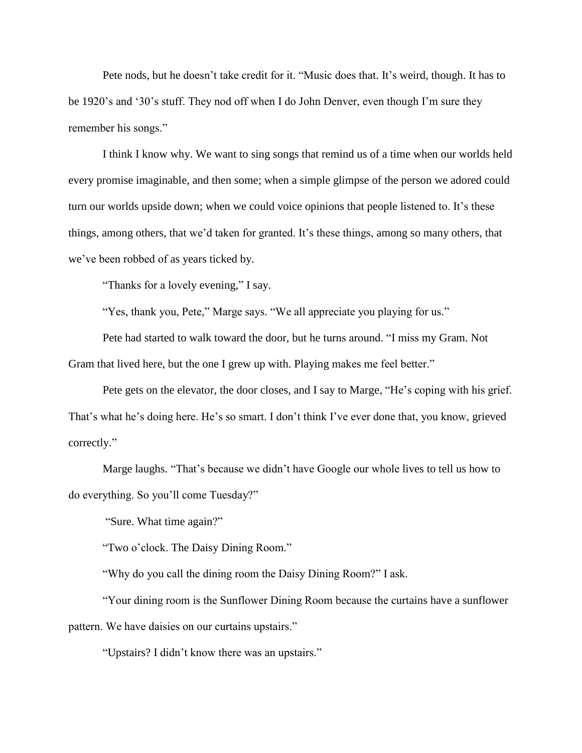Pete nods, but he doesn't take credit for it. "Music does that. It's weird, though. It has to be 1920's and '30's stuff. They nod off when I do John Denver, even though I'm sure they remember his songs."

I think I know why. We want to sing songs that remind us of a time when our worlds held every promise imaginable, and then some; when a simple glimpse of the person we adored could turn our worlds upside down; when we could voice opinions that people listened to. It's these things, among others, that we'd taken for granted. It's these things, among so many others, that we've been robbed of as years ticked by.

"Thanks for a lovely evening," I say.

"Yes, thank you, Pete," Marge says. "We all appreciate you playing for us."

Pete had started to walk toward the door, but he turns around. "I miss my Gram. Not Gram that lived here, but the one I grew up with. Playing makes me feel better."

Pete gets on the elevator, the door closes, and I say to Marge, "He's coping with his grief. That's what he's doing here. He's so smart. I don't think I've ever done that, you know, grieved correctly."

Marge laughs. "That's because we didn't have Google our whole lives to tell us how to do everything. So you'll come Tuesday?"

"Sure. What time again?"

"Two o'clock. The Daisy Dining Room."

"Why do you call the dining room the Daisy Dining Room?" I ask.

"Your dining room is the Sunflower Dining Room because the curtains have a sunflower pattern. We have daisies on our curtains upstairs."

"Upstairs? I didn't know there was an upstairs."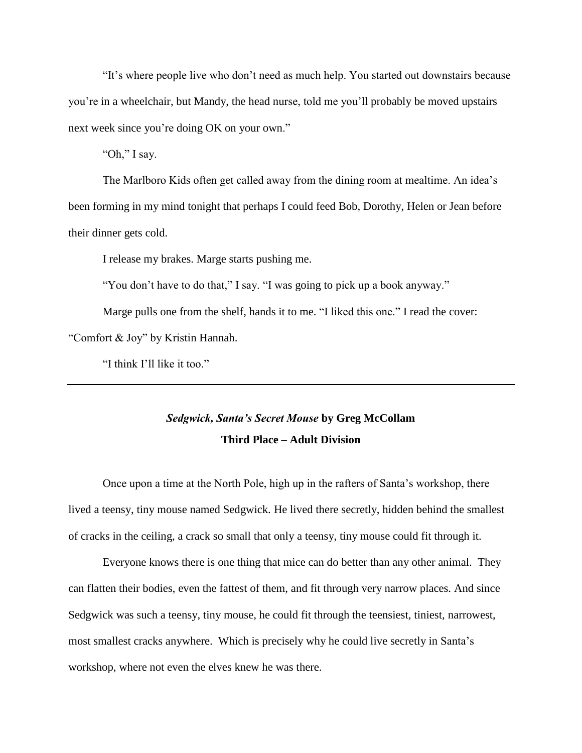"It's where people live who don't need as much help. You started out downstairs because you're in a wheelchair, but Mandy, the head nurse, told me you'll probably be moved upstairs next week since you're doing OK on your own."

"Oh," I say.

The Marlboro Kids often get called away from the dining room at mealtime. An idea's been forming in my mind tonight that perhaps I could feed Bob, Dorothy, Helen or Jean before their dinner gets cold.

I release my brakes. Marge starts pushing me.

"You don't have to do that," I say. "I was going to pick up a book anyway."

Marge pulls one from the shelf, hands it to me. "I liked this one." I read the cover:

"Comfort & Joy" by Kristin Hannah.

"I think I'll like it too."

# *Sedgwick, Santa's Secret Mouse* **by Greg McCollam Third Place – Adult Division**

Once upon a time at the North Pole, high up in the rafters of Santa's workshop, there lived a teensy, tiny mouse named Sedgwick. He lived there secretly, hidden behind the smallest of cracks in the ceiling, a crack so small that only a teensy, tiny mouse could fit through it.

Everyone knows there is one thing that mice can do better than any other animal. They can flatten their bodies, even the fattest of them, and fit through very narrow places. And since Sedgwick was such a teensy, tiny mouse, he could fit through the teensiest, tiniest, narrowest, most smallest cracks anywhere. Which is precisely why he could live secretly in Santa's workshop, where not even the elves knew he was there.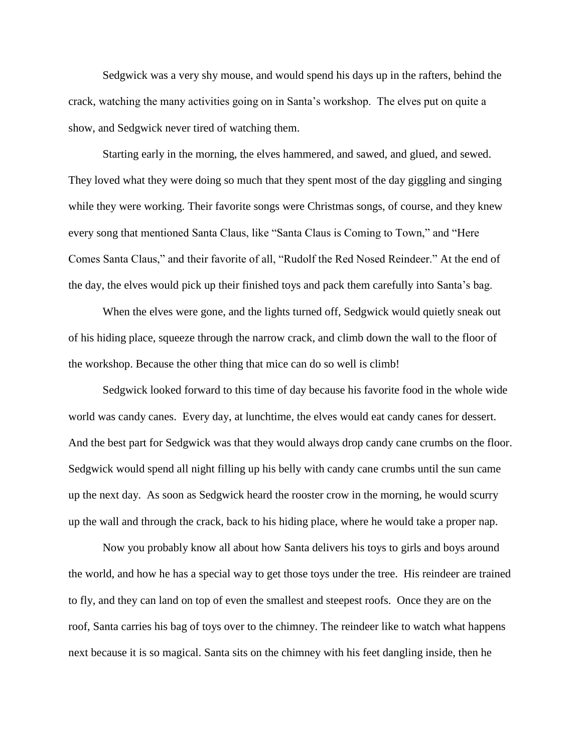Sedgwick was a very shy mouse, and would spend his days up in the rafters, behind the crack, watching the many activities going on in Santa's workshop. The elves put on quite a show, and Sedgwick never tired of watching them.

Starting early in the morning, the elves hammered, and sawed, and glued, and sewed. They loved what they were doing so much that they spent most of the day giggling and singing while they were working. Their favorite songs were Christmas songs, of course, and they knew every song that mentioned Santa Claus, like "Santa Claus is Coming to Town," and "Here Comes Santa Claus," and their favorite of all, "Rudolf the Red Nosed Reindeer." At the end of the day, the elves would pick up their finished toys and pack them carefully into Santa's bag.

When the elves were gone, and the lights turned off, Sedgwick would quietly sneak out of his hiding place, squeeze through the narrow crack, and climb down the wall to the floor of the workshop. Because the other thing that mice can do so well is climb!

Sedgwick looked forward to this time of day because his favorite food in the whole wide world was candy canes. Every day, at lunchtime, the elves would eat candy canes for dessert. And the best part for Sedgwick was that they would always drop candy cane crumbs on the floor. Sedgwick would spend all night filling up his belly with candy cane crumbs until the sun came up the next day. As soon as Sedgwick heard the rooster crow in the morning, he would scurry up the wall and through the crack, back to his hiding place, where he would take a proper nap.

Now you probably know all about how Santa delivers his toys to girls and boys around the world, and how he has a special way to get those toys under the tree. His reindeer are trained to fly, and they can land on top of even the smallest and steepest roofs. Once they are on the roof, Santa carries his bag of toys over to the chimney. The reindeer like to watch what happens next because it is so magical. Santa sits on the chimney with his feet dangling inside, then he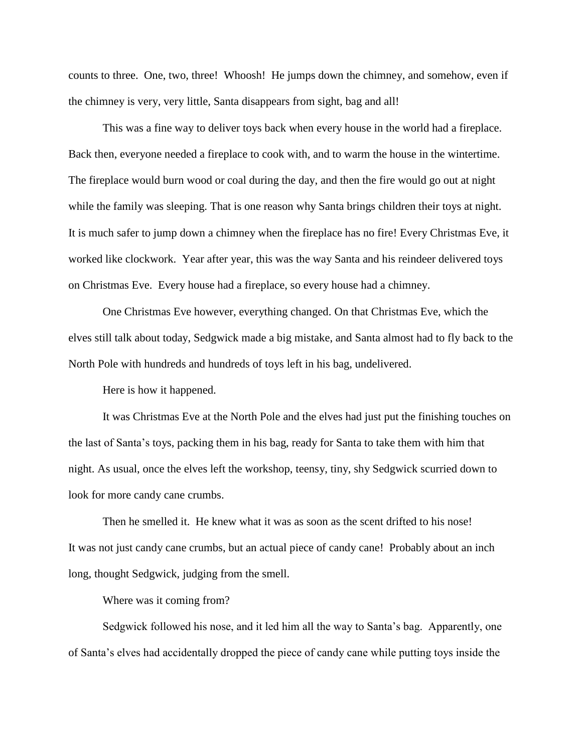counts to three. One, two, three! Whoosh! He jumps down the chimney, and somehow, even if the chimney is very, very little, Santa disappears from sight, bag and all!

This was a fine way to deliver toys back when every house in the world had a fireplace. Back then, everyone needed a fireplace to cook with, and to warm the house in the wintertime. The fireplace would burn wood or coal during the day, and then the fire would go out at night while the family was sleeping. That is one reason why Santa brings children their toys at night. It is much safer to jump down a chimney when the fireplace has no fire! Every Christmas Eve, it worked like clockwork. Year after year, this was the way Santa and his reindeer delivered toys on Christmas Eve. Every house had a fireplace, so every house had a chimney.

One Christmas Eve however, everything changed. On that Christmas Eve, which the elves still talk about today, Sedgwick made a big mistake, and Santa almost had to fly back to the North Pole with hundreds and hundreds of toys left in his bag, undelivered.

Here is how it happened.

It was Christmas Eve at the North Pole and the elves had just put the finishing touches on the last of Santa's toys, packing them in his bag, ready for Santa to take them with him that night. As usual, once the elves left the workshop, teensy, tiny, shy Sedgwick scurried down to look for more candy cane crumbs.

Then he smelled it. He knew what it was as soon as the scent drifted to his nose! It was not just candy cane crumbs, but an actual piece of candy cane! Probably about an inch long, thought Sedgwick, judging from the smell.

Where was it coming from?

Sedgwick followed his nose, and it led him all the way to Santa's bag. Apparently, one of Santa's elves had accidentally dropped the piece of candy cane while putting toys inside the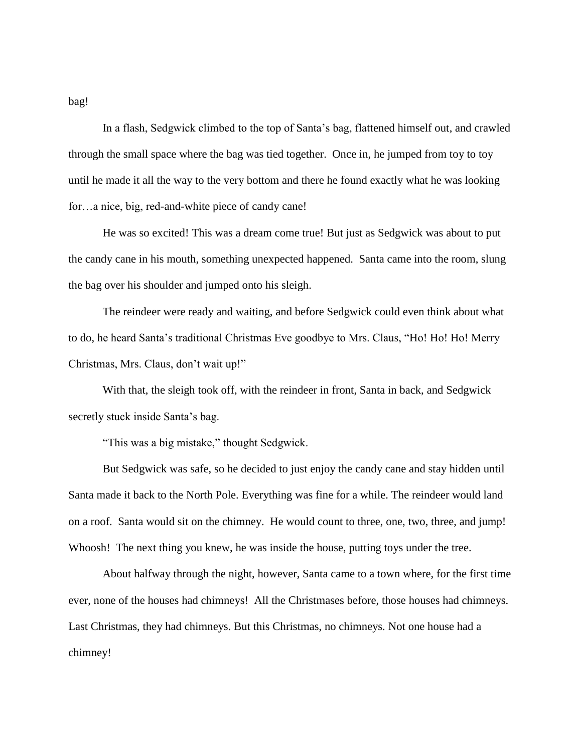bag!

In a flash, Sedgwick climbed to the top of Santa's bag, flattened himself out, and crawled through the small space where the bag was tied together. Once in, he jumped from toy to toy until he made it all the way to the very bottom and there he found exactly what he was looking for…a nice, big, red-and-white piece of candy cane!

He was so excited! This was a dream come true! But just as Sedgwick was about to put the candy cane in his mouth, something unexpected happened. Santa came into the room, slung the bag over his shoulder and jumped onto his sleigh.

The reindeer were ready and waiting, and before Sedgwick could even think about what to do, he heard Santa's traditional Christmas Eve goodbye to Mrs. Claus, "Ho! Ho! Ho! Merry Christmas, Mrs. Claus, don't wait up!"

With that, the sleigh took off, with the reindeer in front, Santa in back, and Sedgwick secretly stuck inside Santa's bag.

"This was a big mistake," thought Sedgwick.

But Sedgwick was safe, so he decided to just enjoy the candy cane and stay hidden until Santa made it back to the North Pole. Everything was fine for a while. The reindeer would land on a roof. Santa would sit on the chimney. He would count to three, one, two, three, and jump! Whoosh! The next thing you knew, he was inside the house, putting toys under the tree.

About halfway through the night, however, Santa came to a town where, for the first time ever, none of the houses had chimneys! All the Christmases before, those houses had chimneys. Last Christmas, they had chimneys. But this Christmas, no chimneys. Not one house had a chimney!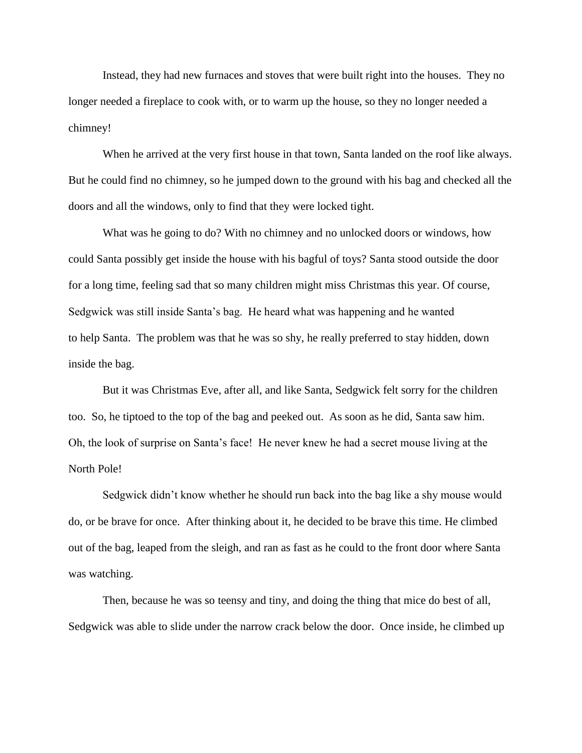Instead, they had new furnaces and stoves that were built right into the houses. They no longer needed a fireplace to cook with, or to warm up the house, so they no longer needed a chimney!

When he arrived at the very first house in that town, Santa landed on the roof like always. But he could find no chimney, so he jumped down to the ground with his bag and checked all the doors and all the windows, only to find that they were locked tight.

What was he going to do? With no chimney and no unlocked doors or windows, how could Santa possibly get inside the house with his bagful of toys? Santa stood outside the door for a long time, feeling sad that so many children might miss Christmas this year. Of course, Sedgwick was still inside Santa's bag. He heard what was happening and he wanted to help Santa. The problem was that he was so shy, he really preferred to stay hidden, down inside the bag.

But it was Christmas Eve, after all, and like Santa, Sedgwick felt sorry for the children too. So, he tiptoed to the top of the bag and peeked out. As soon as he did, Santa saw him. Oh, the look of surprise on Santa's face! He never knew he had a secret mouse living at the North Pole!

Sedgwick didn't know whether he should run back into the bag like a shy mouse would do, or be brave for once. After thinking about it, he decided to be brave this time. He climbed out of the bag, leaped from the sleigh, and ran as fast as he could to the front door where Santa was watching.

Then, because he was so teensy and tiny, and doing the thing that mice do best of all, Sedgwick was able to slide under the narrow crack below the door. Once inside, he climbed up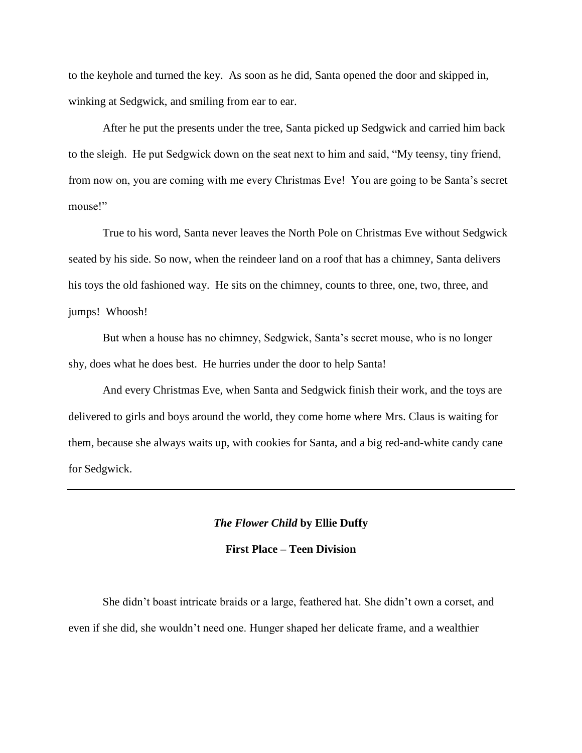to the keyhole and turned the key. As soon as he did, Santa opened the door and skipped in, winking at Sedgwick, and smiling from ear to ear.

After he put the presents under the tree, Santa picked up Sedgwick and carried him back to the sleigh. He put Sedgwick down on the seat next to him and said, "My teensy, tiny friend, from now on, you are coming with me every Christmas Eve! You are going to be Santa's secret mouse!"

True to his word, Santa never leaves the North Pole on Christmas Eve without Sedgwick seated by his side. So now, when the reindeer land on a roof that has a chimney, Santa delivers his toys the old fashioned way. He sits on the chimney, counts to three, one, two, three, and jumps! Whoosh!

But when a house has no chimney, Sedgwick, Santa's secret mouse, who is no longer shy, does what he does best. He hurries under the door to help Santa!

And every Christmas Eve, when Santa and Sedgwick finish their work, and the toys are delivered to girls and boys around the world, they come home where Mrs. Claus is waiting for them, because she always waits up, with cookies for Santa, and a big red-and-white candy cane for Sedgwick.

### *The Flower Child* **by Ellie Duffy**

# **First Place – Teen Division**

She didn't boast intricate braids or a large, feathered hat. She didn't own a corset, and even if she did, she wouldn't need one. Hunger shaped her delicate frame, and a wealthier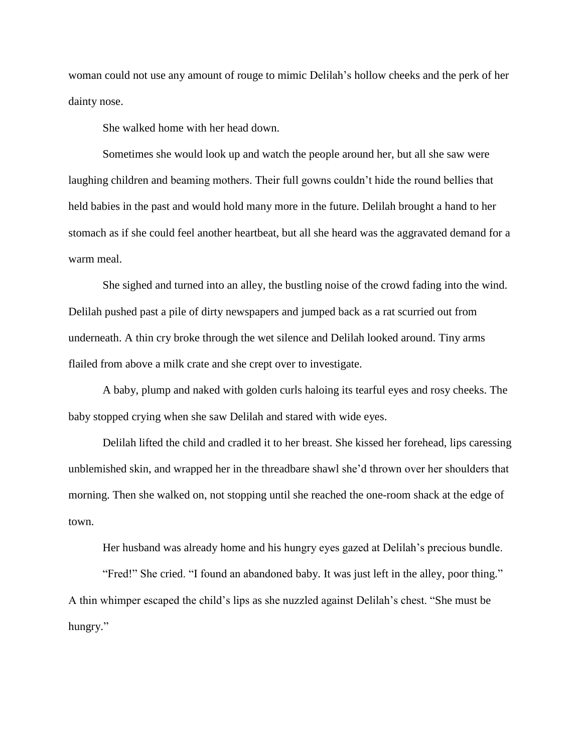woman could not use any amount of rouge to mimic Delilah's hollow cheeks and the perk of her dainty nose.

She walked home with her head down.

Sometimes she would look up and watch the people around her, but all she saw were laughing children and beaming mothers. Their full gowns couldn't hide the round bellies that held babies in the past and would hold many more in the future. Delilah brought a hand to her stomach as if she could feel another heartbeat, but all she heard was the aggravated demand for a warm meal.

She sighed and turned into an alley, the bustling noise of the crowd fading into the wind. Delilah pushed past a pile of dirty newspapers and jumped back as a rat scurried out from underneath. A thin cry broke through the wet silence and Delilah looked around. Tiny arms flailed from above a milk crate and she crept over to investigate.

A baby, plump and naked with golden curls haloing its tearful eyes and rosy cheeks. The baby stopped crying when she saw Delilah and stared with wide eyes.

Delilah lifted the child and cradled it to her breast. She kissed her forehead, lips caressing unblemished skin, and wrapped her in the threadbare shawl she'd thrown over her shoulders that morning. Then she walked on, not stopping until she reached the one-room shack at the edge of town.

Her husband was already home and his hungry eyes gazed at Delilah's precious bundle.

"Fred!" She cried. "I found an abandoned baby. It was just left in the alley, poor thing." A thin whimper escaped the child's lips as she nuzzled against Delilah's chest. "She must be hungry."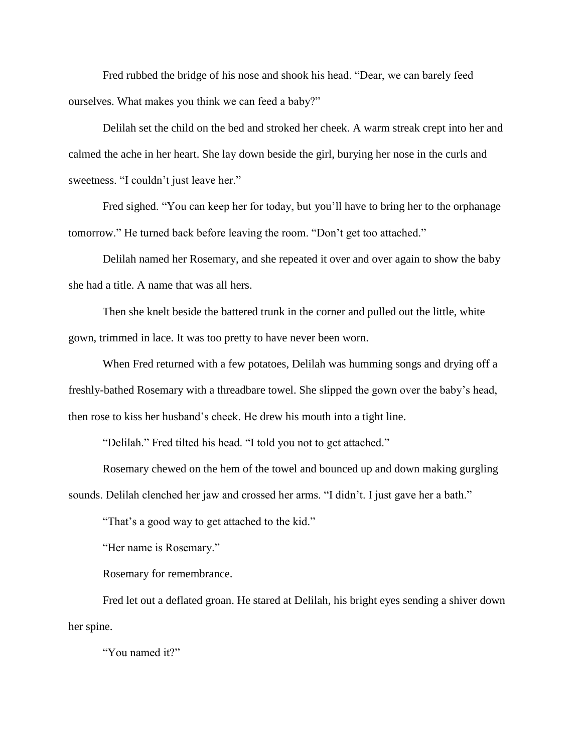Fred rubbed the bridge of his nose and shook his head. "Dear, we can barely feed ourselves. What makes you think we can feed a baby?"

Delilah set the child on the bed and stroked her cheek. A warm streak crept into her and calmed the ache in her heart. She lay down beside the girl, burying her nose in the curls and sweetness. "I couldn't just leave her."

Fred sighed. "You can keep her for today, but you'll have to bring her to the orphanage tomorrow." He turned back before leaving the room. "Don't get too attached."

Delilah named her Rosemary, and she repeated it over and over again to show the baby she had a title. A name that was all hers.

Then she knelt beside the battered trunk in the corner and pulled out the little, white gown, trimmed in lace. It was too pretty to have never been worn.

When Fred returned with a few potatoes, Delilah was humming songs and drying off a freshly-bathed Rosemary with a threadbare towel. She slipped the gown over the baby's head, then rose to kiss her husband's cheek. He drew his mouth into a tight line.

"Delilah." Fred tilted his head. "I told you not to get attached."

Rosemary chewed on the hem of the towel and bounced up and down making gurgling sounds. Delilah clenched her jaw and crossed her arms. "I didn't. I just gave her a bath."

"That's a good way to get attached to the kid."

"Her name is Rosemary."

Rosemary for remembrance.

Fred let out a deflated groan. He stared at Delilah, his bright eyes sending a shiver down her spine.

"You named it?"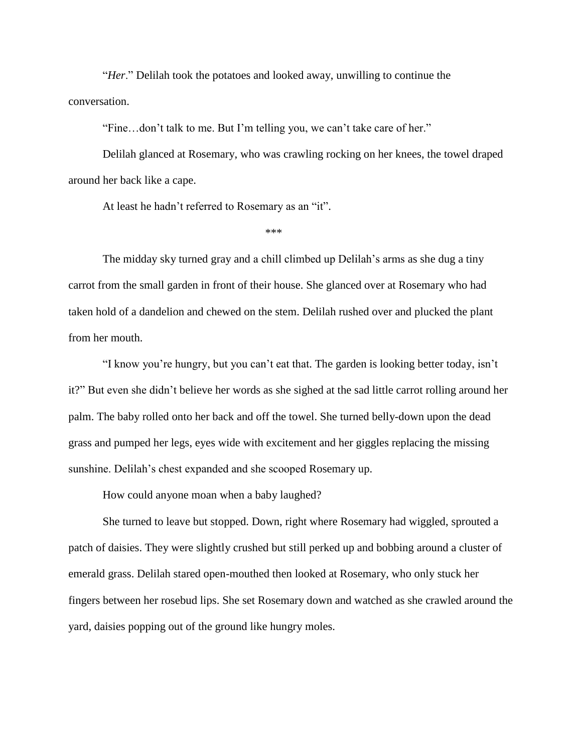"*Her*." Delilah took the potatoes and looked away, unwilling to continue the conversation.

"Fine…don't talk to me. But I'm telling you, we can't take care of her."

Delilah glanced at Rosemary, who was crawling rocking on her knees, the towel draped around her back like a cape.

At least he hadn't referred to Rosemary as an "it".

 $***$ 

The midday sky turned gray and a chill climbed up Delilah's arms as she dug a tiny carrot from the small garden in front of their house. She glanced over at Rosemary who had taken hold of a dandelion and chewed on the stem. Delilah rushed over and plucked the plant from her mouth.

"I know you're hungry, but you can't eat that. The garden is looking better today, isn't it?" But even she didn't believe her words as she sighed at the sad little carrot rolling around her palm. The baby rolled onto her back and off the towel. She turned belly-down upon the dead grass and pumped her legs, eyes wide with excitement and her giggles replacing the missing sunshine. Delilah's chest expanded and she scooped Rosemary up.

How could anyone moan when a baby laughed?

She turned to leave but stopped. Down, right where Rosemary had wiggled, sprouted a patch of daisies. They were slightly crushed but still perked up and bobbing around a cluster of emerald grass. Delilah stared open-mouthed then looked at Rosemary, who only stuck her fingers between her rosebud lips. She set Rosemary down and watched as she crawled around the yard, daisies popping out of the ground like hungry moles.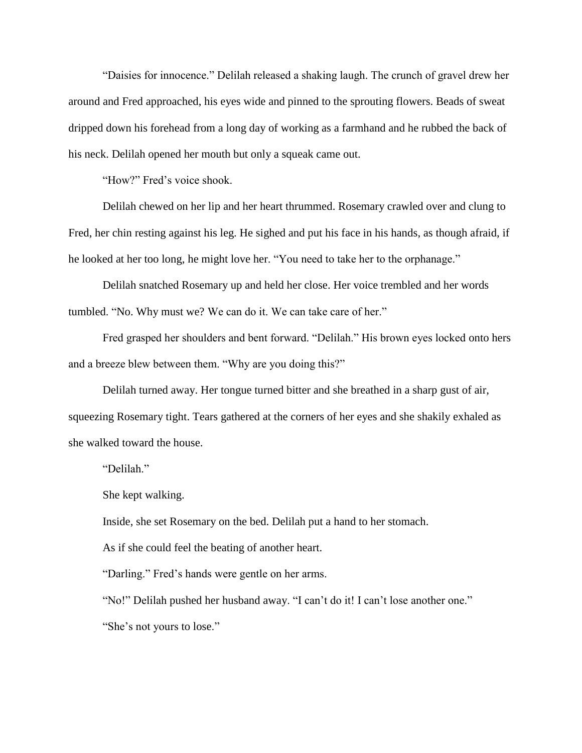"Daisies for innocence." Delilah released a shaking laugh. The crunch of gravel drew her around and Fred approached, his eyes wide and pinned to the sprouting flowers. Beads of sweat dripped down his forehead from a long day of working as a farmhand and he rubbed the back of his neck. Delilah opened her mouth but only a squeak came out.

"How?" Fred's voice shook.

Delilah chewed on her lip and her heart thrummed. Rosemary crawled over and clung to Fred, her chin resting against his leg. He sighed and put his face in his hands, as though afraid, if he looked at her too long, he might love her. "You need to take her to the orphanage."

Delilah snatched Rosemary up and held her close. Her voice trembled and her words tumbled. "No. Why must we? We can do it. We can take care of her."

Fred grasped her shoulders and bent forward. "Delilah." His brown eyes locked onto hers and a breeze blew between them. "Why are you doing this?"

Delilah turned away. Her tongue turned bitter and she breathed in a sharp gust of air, squeezing Rosemary tight. Tears gathered at the corners of her eyes and she shakily exhaled as she walked toward the house.

"Delilah."

She kept walking.

Inside, she set Rosemary on the bed. Delilah put a hand to her stomach.

As if she could feel the beating of another heart.

"Darling." Fred's hands were gentle on her arms.

"No!" Delilah pushed her husband away. "I can't do it! I can't lose another one." "She's not yours to lose."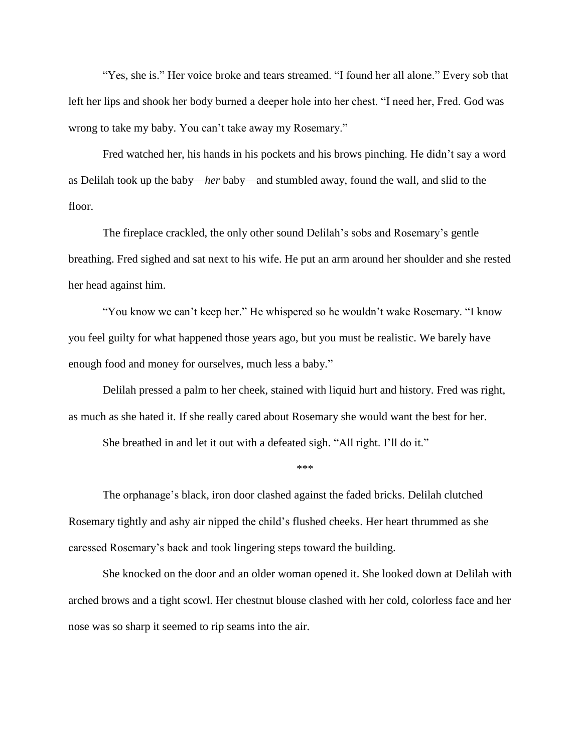"Yes, she is." Her voice broke and tears streamed. "I found her all alone." Every sob that left her lips and shook her body burned a deeper hole into her chest. "I need her, Fred. God was wrong to take my baby. You can't take away my Rosemary."

Fred watched her, his hands in his pockets and his brows pinching. He didn't say a word as Delilah took up the baby—*her* baby—and stumbled away, found the wall, and slid to the floor.

The fireplace crackled, the only other sound Delilah's sobs and Rosemary's gentle breathing. Fred sighed and sat next to his wife. He put an arm around her shoulder and she rested her head against him.

"You know we can't keep her." He whispered so he wouldn't wake Rosemary. "I know you feel guilty for what happened those years ago, but you must be realistic. We barely have enough food and money for ourselves, much less a baby."

Delilah pressed a palm to her cheek, stained with liquid hurt and history. Fred was right, as much as she hated it. If she really cared about Rosemary she would want the best for her.

She breathed in and let it out with a defeated sigh. "All right. I'll do it."

\*\*\*\*

The orphanage's black, iron door clashed against the faded bricks. Delilah clutched Rosemary tightly and ashy air nipped the child's flushed cheeks. Her heart thrummed as she caressed Rosemary's back and took lingering steps toward the building.

She knocked on the door and an older woman opened it. She looked down at Delilah with arched brows and a tight scowl. Her chestnut blouse clashed with her cold, colorless face and her nose was so sharp it seemed to rip seams into the air.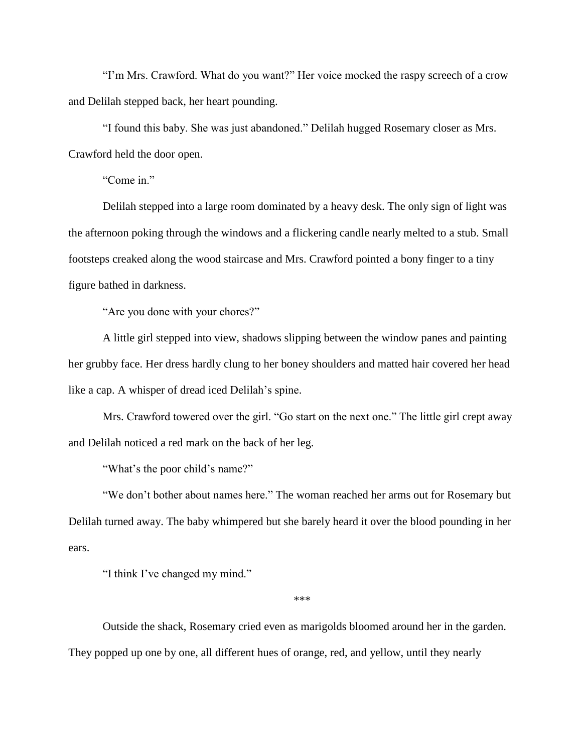"I'm Mrs. Crawford. What do you want?" Her voice mocked the raspy screech of a crow and Delilah stepped back, her heart pounding.

"I found this baby. She was just abandoned." Delilah hugged Rosemary closer as Mrs. Crawford held the door open.

"Come in."

Delilah stepped into a large room dominated by a heavy desk. The only sign of light was the afternoon poking through the windows and a flickering candle nearly melted to a stub. Small footsteps creaked along the wood staircase and Mrs. Crawford pointed a bony finger to a tiny figure bathed in darkness.

"Are you done with your chores?"

A little girl stepped into view, shadows slipping between the window panes and painting her grubby face. Her dress hardly clung to her boney shoulders and matted hair covered her head like a cap. A whisper of dread iced Delilah's spine.

Mrs. Crawford towered over the girl. "Go start on the next one." The little girl crept away and Delilah noticed a red mark on the back of her leg.

"What's the poor child's name?"

"We don't bother about names here." The woman reached her arms out for Rosemary but Delilah turned away. The baby whimpered but she barely heard it over the blood pounding in her ears.

"I think I've changed my mind."

\*\*\*\*

Outside the shack, Rosemary cried even as marigolds bloomed around her in the garden. They popped up one by one, all different hues of orange, red, and yellow, until they nearly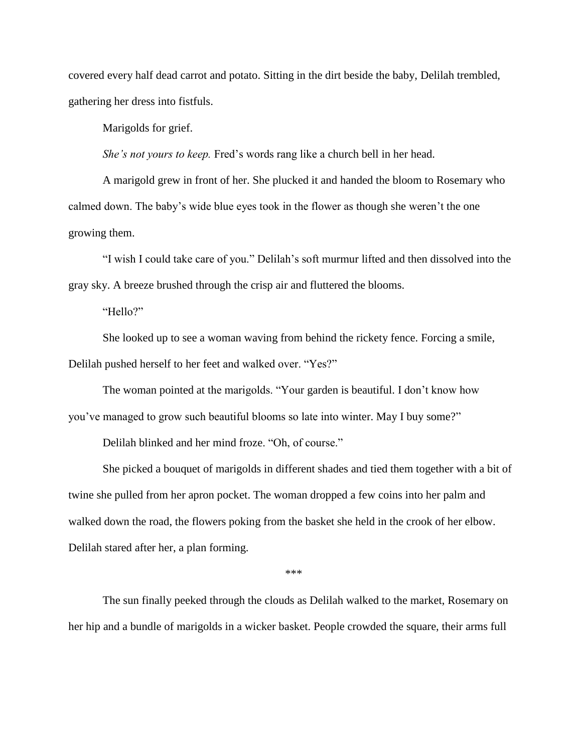covered every half dead carrot and potato. Sitting in the dirt beside the baby, Delilah trembled, gathering her dress into fistfuls.

Marigolds for grief.

*She's not yours to keep.* Fred's words rang like a church bell in her head.

A marigold grew in front of her. She plucked it and handed the bloom to Rosemary who calmed down. The baby's wide blue eyes took in the flower as though she weren't the one growing them.

"I wish I could take care of you." Delilah's soft murmur lifted and then dissolved into the gray sky. A breeze brushed through the crisp air and fluttered the blooms.

"Hello?"

She looked up to see a woman waving from behind the rickety fence. Forcing a smile, Delilah pushed herself to her feet and walked over. "Yes?"

The woman pointed at the marigolds. "Your garden is beautiful. I don't know how you've managed to grow such beautiful blooms so late into winter. May I buy some?"

Delilah blinked and her mind froze. "Oh, of course."

She picked a bouquet of marigolds in different shades and tied them together with a bit of twine she pulled from her apron pocket. The woman dropped a few coins into her palm and walked down the road, the flowers poking from the basket she held in the crook of her elbow. Delilah stared after her, a plan forming.

 $***$ 

The sun finally peeked through the clouds as Delilah walked to the market, Rosemary on her hip and a bundle of marigolds in a wicker basket. People crowded the square, their arms full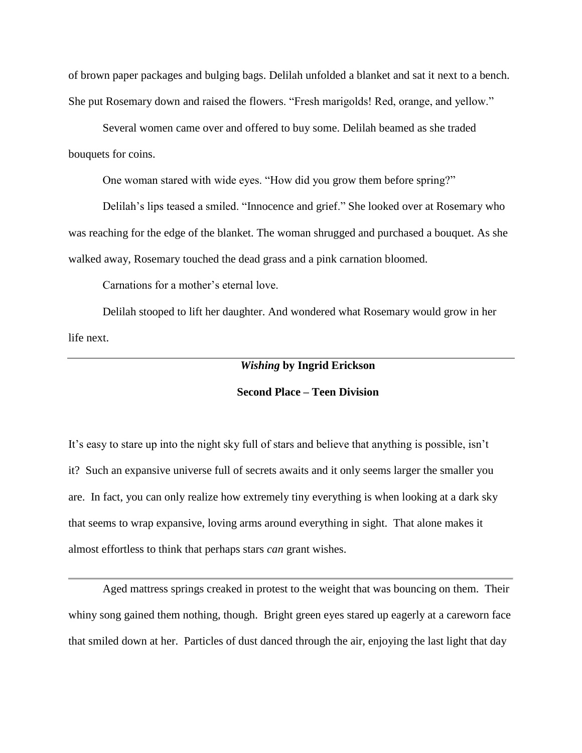of brown paper packages and bulging bags. Delilah unfolded a blanket and sat it next to a bench. She put Rosemary down and raised the flowers. "Fresh marigolds! Red, orange, and yellow."

Several women came over and offered to buy some. Delilah beamed as she traded bouquets for coins.

One woman stared with wide eyes. "How did you grow them before spring?"

Delilah's lips teased a smiled. "Innocence and grief." She looked over at Rosemary who was reaching for the edge of the blanket. The woman shrugged and purchased a bouquet. As she walked away, Rosemary touched the dead grass and a pink carnation bloomed.

Carnations for a mother's eternal love.

Delilah stooped to lift her daughter. And wondered what Rosemary would grow in her life next.

# *Wishing* **by Ingrid Erickson**

## **Second Place – Teen Division**

It's easy to stare up into the night sky full of stars and believe that anything is possible, isn't it? Such an expansive universe full of secrets awaits and it only seems larger the smaller you are. In fact, you can only realize how extremely tiny everything is when looking at a dark sky that seems to wrap expansive, loving arms around everything in sight. That alone makes it almost effortless to think that perhaps stars *can* grant wishes.

Aged mattress springs creaked in protest to the weight that was bouncing on them. Their whiny song gained them nothing, though. Bright green eyes stared up eagerly at a careworn face that smiled down at her. Particles of dust danced through the air, enjoying the last light that day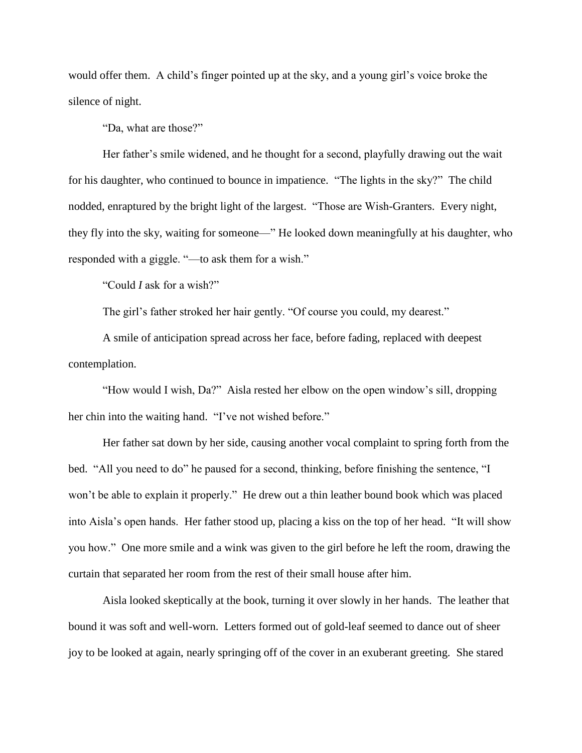would offer them. A child's finger pointed up at the sky, and a young girl's voice broke the silence of night.

"Da, what are those?"

Her father's smile widened, and he thought for a second, playfully drawing out the wait for his daughter, who continued to bounce in impatience. "The lights in the sky?" The child nodded, enraptured by the bright light of the largest. "Those are Wish-Granters. Every night, they fly into the sky, waiting for someone—" He looked down meaningfully at his daughter, who responded with a giggle. "—to ask them for a wish."

"Could *I* ask for a wish?"

The girl's father stroked her hair gently. "Of course you could, my dearest."

A smile of anticipation spread across her face, before fading, replaced with deepest contemplation.

"How would I wish, Da?" Aisla rested her elbow on the open window's sill, dropping her chin into the waiting hand. "I've not wished before."

Her father sat down by her side, causing another vocal complaint to spring forth from the bed. "All you need to do" he paused for a second, thinking, before finishing the sentence, "I won't be able to explain it properly." He drew out a thin leather bound book which was placed into Aisla's open hands. Her father stood up, placing a kiss on the top of her head. "It will show you how." One more smile and a wink was given to the girl before he left the room, drawing the curtain that separated her room from the rest of their small house after him.

Aisla looked skeptically at the book, turning it over slowly in her hands. The leather that bound it was soft and well-worn. Letters formed out of gold-leaf seemed to dance out of sheer joy to be looked at again, nearly springing off of the cover in an exuberant greeting. She stared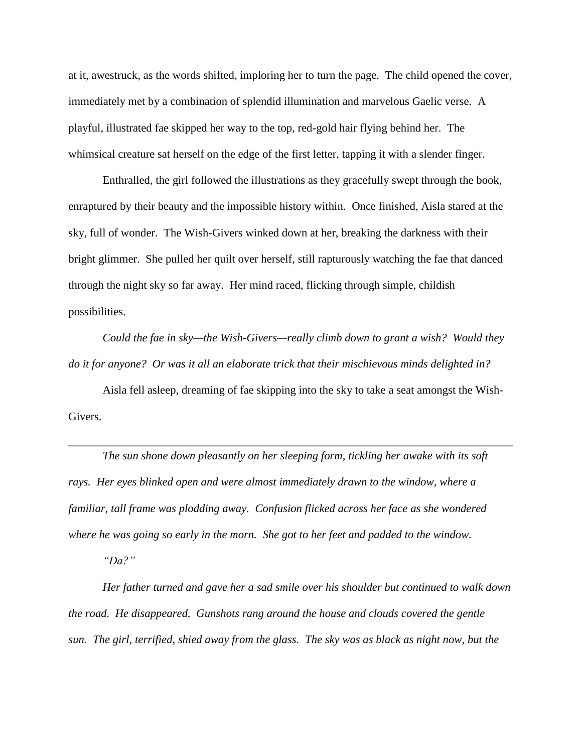at it, awestruck, as the words shifted, imploring her to turn the page. The child opened the cover, immediately met by a combination of splendid illumination and marvelous Gaelic verse. A playful, illustrated fae skipped her way to the top, red-gold hair flying behind her. The whimsical creature sat herself on the edge of the first letter, tapping it with a slender finger.

Enthralled, the girl followed the illustrations as they gracefully swept through the book, enraptured by their beauty and the impossible history within. Once finished, Aisla stared at the sky, full of wonder. The Wish-Givers winked down at her, breaking the darkness with their bright glimmer. She pulled her quilt over herself, still rapturously watching the fae that danced through the night sky so far away. Her mind raced, flicking through simple, childish possibilities.

*Could the fae in sky—the Wish-Givers—really climb down to grant a wish? Would they do it for anyone? Or was it all an elaborate trick that their mischievous minds delighted in?*

Aisla fell asleep, dreaming of fae skipping into the sky to take a seat amongst the Wish-Givers.

*The sun shone down pleasantly on her sleeping form, tickling her awake with its soft rays. Her eyes blinked open and were almost immediately drawn to the window, where a familiar, tall frame was plodding away. Confusion flicked across her face as she wondered where he was going so early in the morn. She got to her feet and padded to the window.*

*"Da?"* 

*Her father turned and gave her a sad smile over his shoulder but continued to walk down the road. He disappeared. Gunshots rang around the house and clouds covered the gentle sun. The girl, terrified, shied away from the glass. The sky was as black as night now, but the*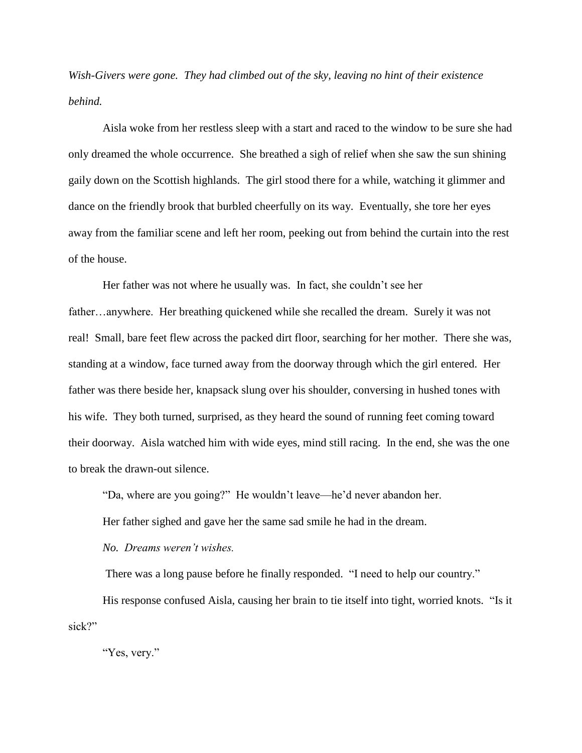*Wish-Givers were gone. They had climbed out of the sky, leaving no hint of their existence behind.*

Aisla woke from her restless sleep with a start and raced to the window to be sure she had only dreamed the whole occurrence. She breathed a sigh of relief when she saw the sun shining gaily down on the Scottish highlands. The girl stood there for a while, watching it glimmer and dance on the friendly brook that burbled cheerfully on its way. Eventually, she tore her eyes away from the familiar scene and left her room, peeking out from behind the curtain into the rest of the house.

Her father was not where he usually was. In fact, she couldn't see her father…anywhere. Her breathing quickened while she recalled the dream. Surely it was not real! Small, bare feet flew across the packed dirt floor, searching for her mother. There she was, standing at a window, face turned away from the doorway through which the girl entered. Her father was there beside her, knapsack slung over his shoulder, conversing in hushed tones with his wife. They both turned, surprised, as they heard the sound of running feet coming toward their doorway. Aisla watched him with wide eyes, mind still racing. In the end, she was the one to break the drawn-out silence.

"Da, where are you going?" He wouldn't leave—he'd never abandon her.

Her father sighed and gave her the same sad smile he had in the dream.

*No. Dreams weren't wishes.*

There was a long pause before he finally responded. "I need to help our country."

His response confused Aisla, causing her brain to tie itself into tight, worried knots. "Is it sick?"

"Yes, very."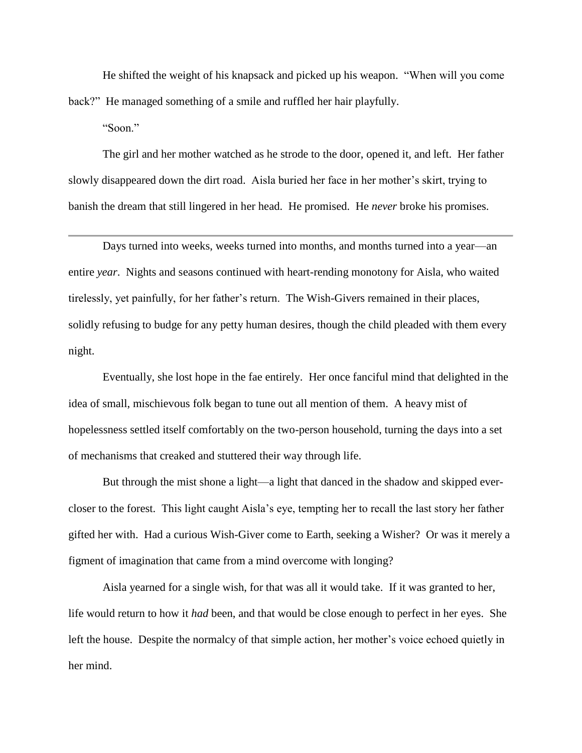He shifted the weight of his knapsack and picked up his weapon. "When will you come back?" He managed something of a smile and ruffled her hair playfully.

"Soon."

The girl and her mother watched as he strode to the door, opened it, and left. Her father slowly disappeared down the dirt road. Aisla buried her face in her mother's skirt, trying to banish the dream that still lingered in her head. He promised. He *never* broke his promises.

Days turned into weeks, weeks turned into months, and months turned into a year—an entire *year*. Nights and seasons continued with heart-rending monotony for Aisla, who waited tirelessly, yet painfully, for her father's return. The Wish-Givers remained in their places, solidly refusing to budge for any petty human desires, though the child pleaded with them every night.

Eventually, she lost hope in the fae entirely. Her once fanciful mind that delighted in the idea of small, mischievous folk began to tune out all mention of them. A heavy mist of hopelessness settled itself comfortably on the two-person household, turning the days into a set of mechanisms that creaked and stuttered their way through life.

But through the mist shone a light—a light that danced in the shadow and skipped evercloser to the forest. This light caught Aisla's eye, tempting her to recall the last story her father gifted her with. Had a curious Wish-Giver come to Earth, seeking a Wisher? Or was it merely a figment of imagination that came from a mind overcome with longing?

Aisla yearned for a single wish, for that was all it would take. If it was granted to her, life would return to how it *had* been, and that would be close enough to perfect in her eyes. She left the house. Despite the normalcy of that simple action, her mother's voice echoed quietly in her mind.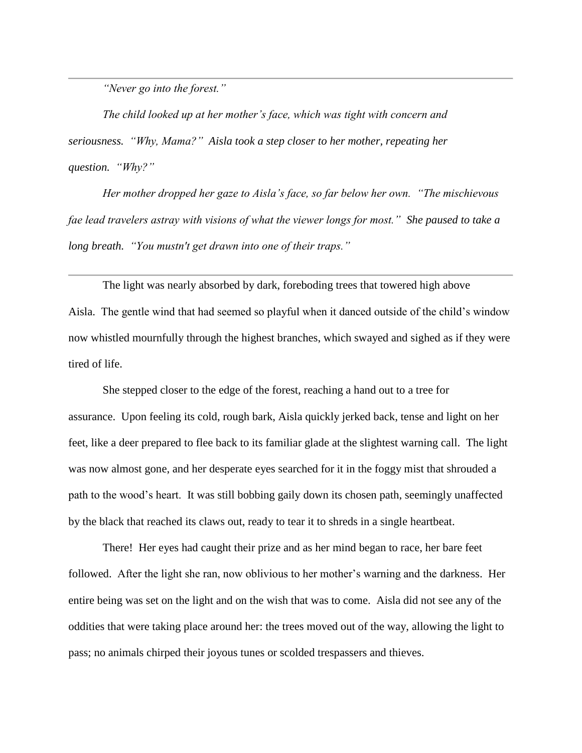*"Never go into the forest."* 

*The child looked up at her mother's face, which was tight with concern and seriousness. "Why, Mama?" Aisla took a step closer to her mother, repeating her question. "Why?"*

*Her mother dropped her gaze to Aisla's face, so far below her own. "The mischievous fae lead travelers astray with visions of what the viewer longs for most." She paused to take a long breath. "You mustn't get drawn into one of their traps."*

The light was nearly absorbed by dark, foreboding trees that towered high above Aisla. The gentle wind that had seemed so playful when it danced outside of the child's window now whistled mournfully through the highest branches, which swayed and sighed as if they were tired of life.

She stepped closer to the edge of the forest, reaching a hand out to a tree for assurance. Upon feeling its cold, rough bark, Aisla quickly jerked back, tense and light on her feet, like a deer prepared to flee back to its familiar glade at the slightest warning call. The light was now almost gone, and her desperate eyes searched for it in the foggy mist that shrouded a path to the wood's heart. It was still bobbing gaily down its chosen path, seemingly unaffected by the black that reached its claws out, ready to tear it to shreds in a single heartbeat.

There! Her eyes had caught their prize and as her mind began to race, her bare feet followed. After the light she ran, now oblivious to her mother's warning and the darkness. Her entire being was set on the light and on the wish that was to come. Aisla did not see any of the oddities that were taking place around her: the trees moved out of the way, allowing the light to pass; no animals chirped their joyous tunes or scolded trespassers and thieves.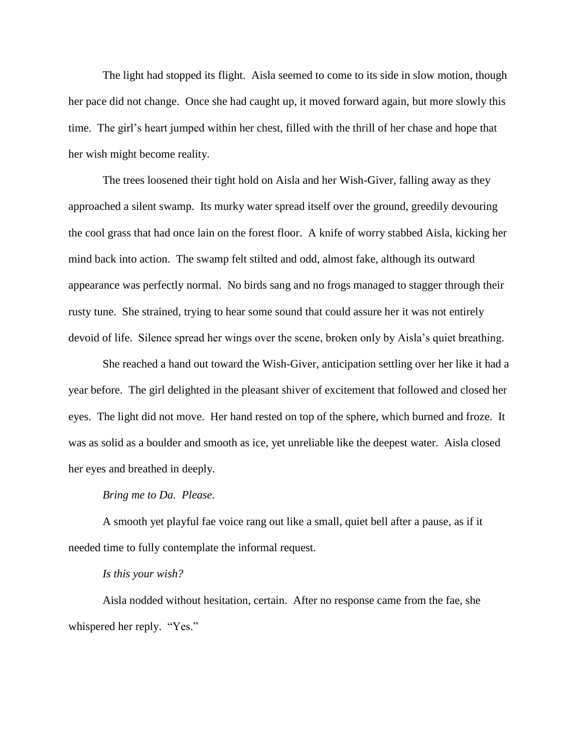The light had stopped its flight. Aisla seemed to come to its side in slow motion, though her pace did not change. Once she had caught up, it moved forward again, but more slowly this time. The girl's heart jumped within her chest, filled with the thrill of her chase and hope that her wish might become reality.

The trees loosened their tight hold on Aisla and her Wish-Giver, falling away as they approached a silent swamp. Its murky water spread itself over the ground, greedily devouring the cool grass that had once lain on the forest floor. A knife of worry stabbed Aisla, kicking her mind back into action. The swamp felt stilted and odd, almost fake, although its outward appearance was perfectly normal. No birds sang and no frogs managed to stagger through their rusty tune. She strained, trying to hear some sound that could assure her it was not entirely devoid of life. Silence spread her wings over the scene, broken only by Aisla's quiet breathing.

She reached a hand out toward the Wish-Giver, anticipation settling over her like it had a year before. The girl delighted in the pleasant shiver of excitement that followed and closed her eyes. The light did not move. Her hand rested on top of the sphere, which burned and froze. It was as solid as a boulder and smooth as ice, yet unreliable like the deepest water. Aisla closed her eyes and breathed in deeply.

#### *Bring me to Da. Please.*

A smooth yet playful fae voice rang out like a small, quiet bell after a pause, as if it needed time to fully contemplate the informal request.

#### *Is this your wish?*

Aisla nodded without hesitation, certain. After no response came from the fae, she whispered her reply. "Yes."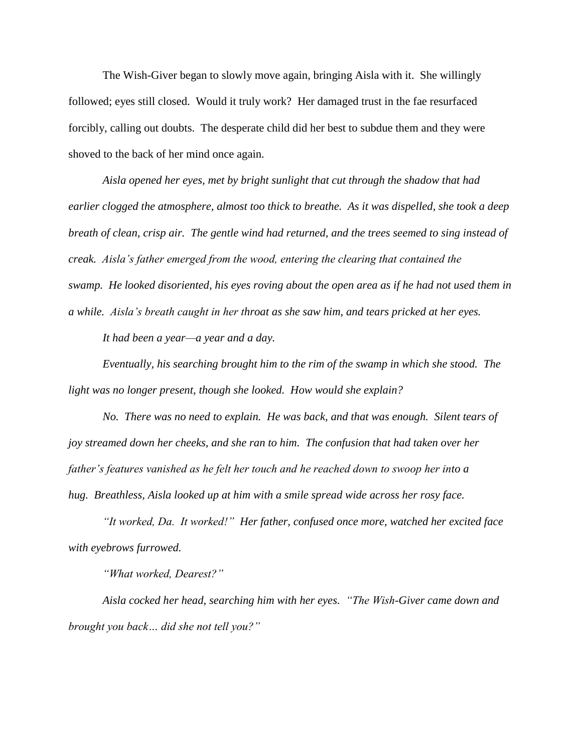The Wish-Giver began to slowly move again, bringing Aisla with it. She willingly followed; eyes still closed. Would it truly work? Her damaged trust in the fae resurfaced forcibly, calling out doubts. The desperate child did her best to subdue them and they were shoved to the back of her mind once again.

*Aisla opened her eyes, met by bright sunlight that cut through the shadow that had earlier clogged the atmosphere, almost too thick to breathe. As it was dispelled, she took a deep breath of clean, crisp air. The gentle wind had returned, and the trees seemed to sing instead of creak. Aisla's father emerged from the wood, entering the clearing that contained the swamp. He looked disoriented, his eyes roving about the open area as if he had not used them in a while. Aisla's breath caught in her throat as she saw him, and tears pricked at her eyes.*

*It had been a year—a year and a day.* 

*Eventually, his searching brought him to the rim of the swamp in which she stood. The light was no longer present, though she looked. How would she explain?* 

*No. There was no need to explain. He was back, and that was enough. Silent tears of joy streamed down her cheeks, and she ran to him. The confusion that had taken over her father's features vanished as he felt her touch and he reached down to swoop her into a hug. Breathless, Aisla looked up at him with a smile spread wide across her rosy face.*

*"It worked, Da. It worked!" Her father, confused once more, watched her excited face with eyebrows furrowed.*

*"What worked, Dearest?"* 

*Aisla cocked her head, searching him with her eyes. "The Wish-Giver came down and brought you back… did she not tell you?"*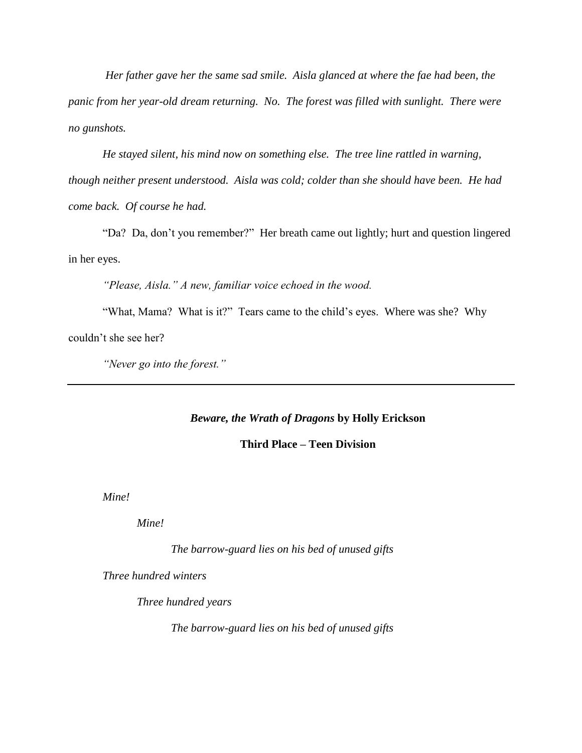*Her father gave her the same sad smile. Aisla glanced at where the fae had been, the panic from her year-old dream returning. No. The forest was filled with sunlight. There were no gunshots.*

*He stayed silent, his mind now on something else. The tree line rattled in warning, though neither present understood. Aisla was cold; colder than she should have been. He had come back. Of course he had.*

"Da? Da, don't you remember?" Her breath came out lightly; hurt and question lingered in her eyes.

*"Please, Aisla." A new, familiar voice echoed in the wood.*

"What, Mama? What is it?" Tears came to the child's eyes. Where was she? Why couldn't she see her?

*"Never go into the forest."*

# *Beware, the Wrath of Dragons* **by Holly Erickson**

## **Third Place – Teen Division**

*Mine!*

*Mine!*

*The barrow-guard lies on his bed of unused gifts*

*Three hundred winters* 

*Three hundred years*

*The barrow-guard lies on his bed of unused gifts*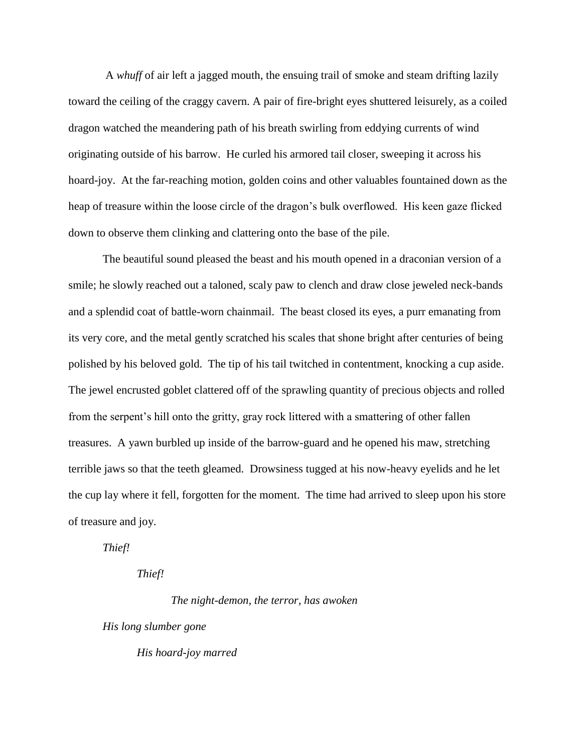A *whuff* of air left a jagged mouth, the ensuing trail of smoke and steam drifting lazily toward the ceiling of the craggy cavern. A pair of fire-bright eyes shuttered leisurely, as a coiled dragon watched the meandering path of his breath swirling from eddying currents of wind originating outside of his barrow. He curled his armored tail closer, sweeping it across his hoard-joy. At the far-reaching motion, golden coins and other valuables fountained down as the heap of treasure within the loose circle of the dragon's bulk overflowed. His keen gaze flicked down to observe them clinking and clattering onto the base of the pile.

The beautiful sound pleased the beast and his mouth opened in a draconian version of a smile; he slowly reached out a taloned, scaly paw to clench and draw close jeweled neck-bands and a splendid coat of battle-worn chainmail. The beast closed its eyes, a purr emanating from its very core, and the metal gently scratched his scales that shone bright after centuries of being polished by his beloved gold. The tip of his tail twitched in contentment, knocking a cup aside. The jewel encrusted goblet clattered off of the sprawling quantity of precious objects and rolled from the serpent's hill onto the gritty, gray rock littered with a smattering of other fallen treasures. A yawn burbled up inside of the barrow-guard and he opened his maw, stretching terrible jaws so that the teeth gleamed. Drowsiness tugged at his now-heavy eyelids and he let the cup lay where it fell, forgotten for the moment. The time had arrived to sleep upon his store of treasure and joy.

*Thief!*

*Thief!*

*The night-demon, the terror, has awoken*

*His long slumber gone*

*His hoard-joy marred*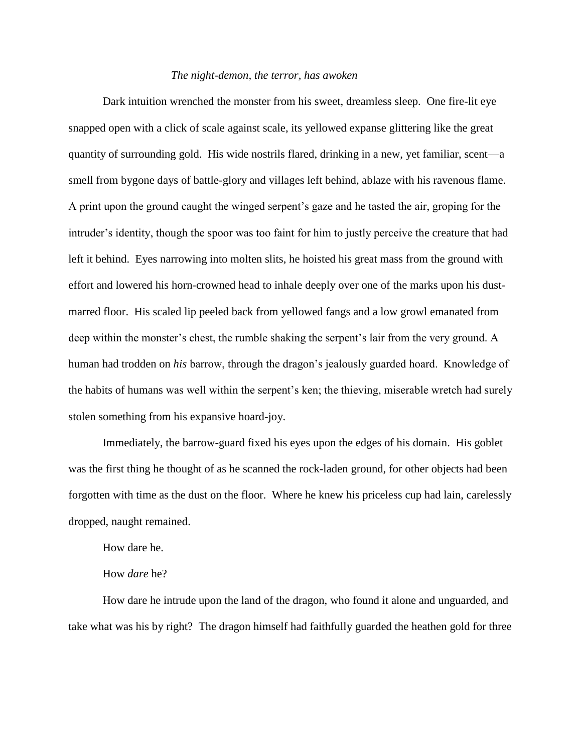#### *The night-demon, the terror, has awoken*

Dark intuition wrenched the monster from his sweet, dreamless sleep. One fire-lit eye snapped open with a click of scale against scale, its yellowed expanse glittering like the great quantity of surrounding gold. His wide nostrils flared, drinking in a new, yet familiar, scent—a smell from bygone days of battle-glory and villages left behind, ablaze with his ravenous flame. A print upon the ground caught the winged serpent's gaze and he tasted the air, groping for the intruder's identity, though the spoor was too faint for him to justly perceive the creature that had left it behind. Eyes narrowing into molten slits, he hoisted his great mass from the ground with effort and lowered his horn-crowned head to inhale deeply over one of the marks upon his dustmarred floor. His scaled lip peeled back from yellowed fangs and a low growl emanated from deep within the monster's chest, the rumble shaking the serpent's lair from the very ground. A human had trodden on *his* barrow, through the dragon's jealously guarded hoard. Knowledge of the habits of humans was well within the serpent's ken; the thieving, miserable wretch had surely stolen something from his expansive hoard-joy.

Immediately, the barrow-guard fixed his eyes upon the edges of his domain. His goblet was the first thing he thought of as he scanned the rock-laden ground, for other objects had been forgotten with time as the dust on the floor. Where he knew his priceless cup had lain, carelessly dropped, naught remained.

How dare he.

#### How *dare* he?

How dare he intrude upon the land of the dragon, who found it alone and unguarded, and take what was his by right? The dragon himself had faithfully guarded the heathen gold for three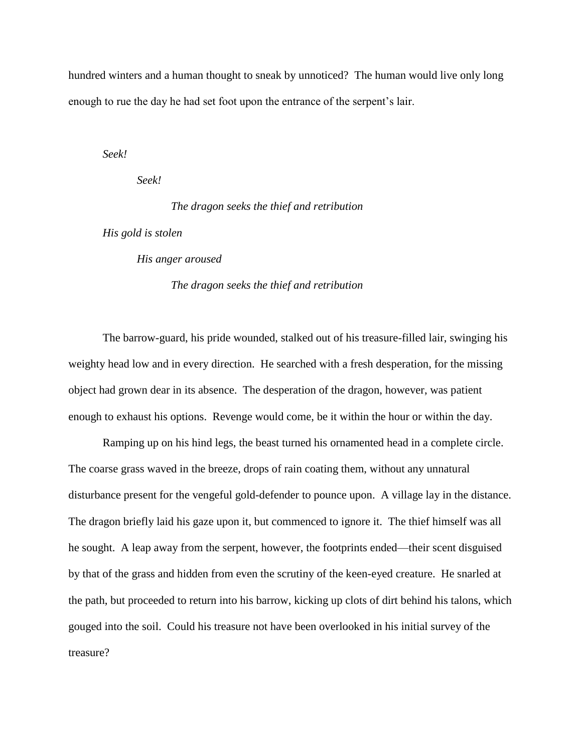hundred winters and a human thought to sneak by unnoticed? The human would live only long enough to rue the day he had set foot upon the entrance of the serpent's lair.

*Seek!* 

*Seek!*

*The dragon seeks the thief and retribution*

*His gold is stolen*

*His anger aroused*

## *The dragon seeks the thief and retribution*

The barrow-guard, his pride wounded, stalked out of his treasure-filled lair, swinging his weighty head low and in every direction. He searched with a fresh desperation, for the missing object had grown dear in its absence. The desperation of the dragon, however, was patient enough to exhaust his options. Revenge would come, be it within the hour or within the day.

Ramping up on his hind legs, the beast turned his ornamented head in a complete circle. The coarse grass waved in the breeze, drops of rain coating them, without any unnatural disturbance present for the vengeful gold-defender to pounce upon. A village lay in the distance. The dragon briefly laid his gaze upon it, but commenced to ignore it. The thief himself was all he sought. A leap away from the serpent, however, the footprints ended—their scent disguised by that of the grass and hidden from even the scrutiny of the keen-eyed creature. He snarled at the path, but proceeded to return into his barrow, kicking up clots of dirt behind his talons, which gouged into the soil. Could his treasure not have been overlooked in his initial survey of the treasure?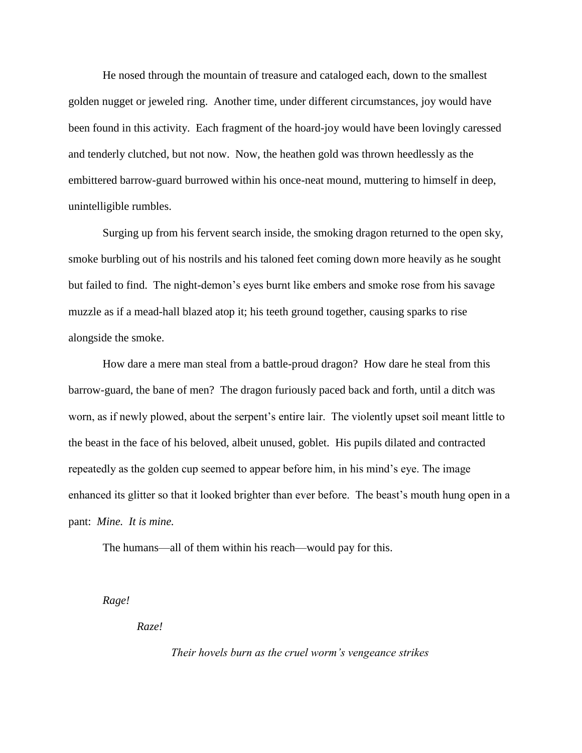He nosed through the mountain of treasure and cataloged each, down to the smallest golden nugget or jeweled ring. Another time, under different circumstances, joy would have been found in this activity. Each fragment of the hoard-joy would have been lovingly caressed and tenderly clutched, but not now. Now, the heathen gold was thrown heedlessly as the embittered barrow-guard burrowed within his once-neat mound, muttering to himself in deep, unintelligible rumbles.

Surging up from his fervent search inside, the smoking dragon returned to the open sky, smoke burbling out of his nostrils and his taloned feet coming down more heavily as he sought but failed to find. The night-demon's eyes burnt like embers and smoke rose from his savage muzzle as if a mead-hall blazed atop it; his teeth ground together, causing sparks to rise alongside the smoke.

How dare a mere man steal from a battle-proud dragon? How dare he steal from this barrow-guard, the bane of men? The dragon furiously paced back and forth, until a ditch was worn, as if newly plowed, about the serpent's entire lair. The violently upset soil meant little to the beast in the face of his beloved, albeit unused, goblet. His pupils dilated and contracted repeatedly as the golden cup seemed to appear before him, in his mind's eye. The image enhanced its glitter so that it looked brighter than ever before. The beast's mouth hung open in a pant: *Mine. It is mine.*

The humans—all of them within his reach—would pay for this.

*Rage!*

*Raze!*

*Their hovels burn as the cruel worm's vengeance strikes*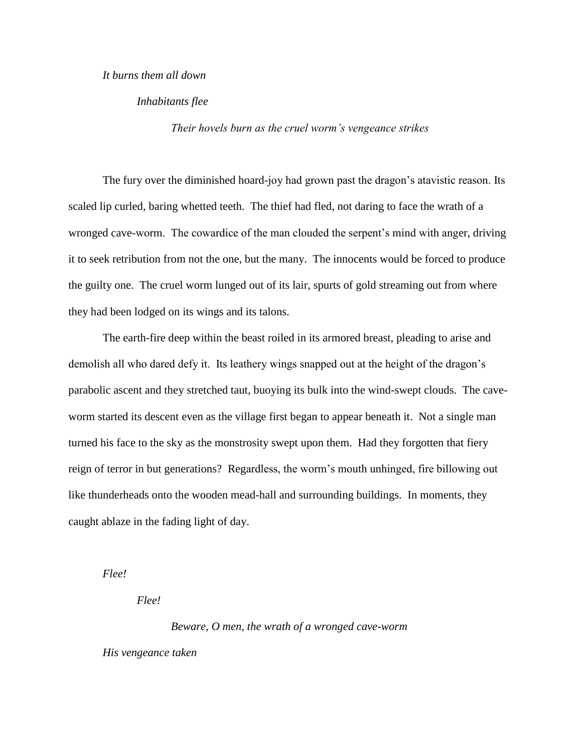### *It burns them all down*

### *Inhabitants flee*

*Their hovels burn as the cruel worm's vengeance strikes*

The fury over the diminished hoard-joy had grown past the dragon's atavistic reason. Its scaled lip curled, baring whetted teeth. The thief had fled, not daring to face the wrath of a wronged cave-worm. The cowardice of the man clouded the serpent's mind with anger, driving it to seek retribution from not the one, but the many. The innocents would be forced to produce the guilty one. The cruel worm lunged out of its lair, spurts of gold streaming out from where they had been lodged on its wings and its talons.

The earth-fire deep within the beast roiled in its armored breast, pleading to arise and demolish all who dared defy it. Its leathery wings snapped out at the height of the dragon's parabolic ascent and they stretched taut, buoying its bulk into the wind-swept clouds. The caveworm started its descent even as the village first began to appear beneath it. Not a single man turned his face to the sky as the monstrosity swept upon them. Had they forgotten that fiery reign of terror in but generations? Regardless, the worm's mouth unhinged, fire billowing out like thunderheads onto the wooden mead-hall and surrounding buildings. In moments, they caught ablaze in the fading light of day.

*Flee!*

*Flee!*

*Beware, O men, the wrath of a wronged cave-worm*

*His vengeance taken*